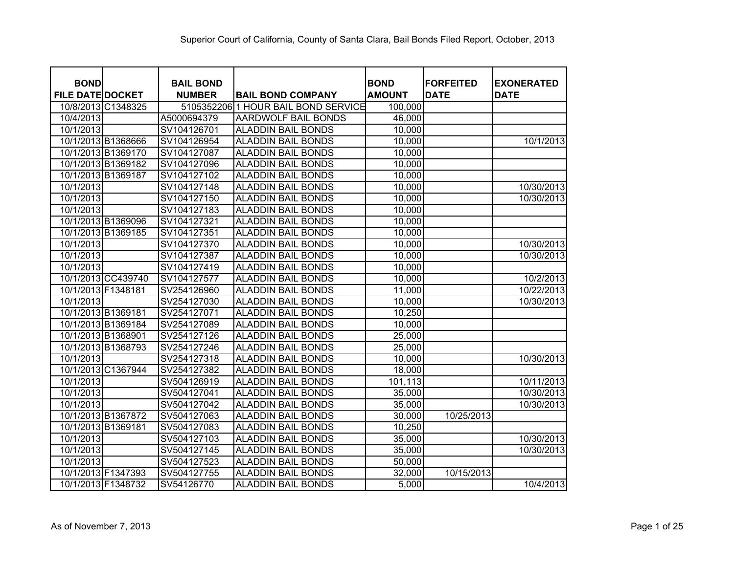| <b>BOND</b>             | <b>BAIL BOND</b> |                                     | <b>BOND</b>   | <b>FORFEITED</b> | <b>EXONERATED</b> |
|-------------------------|------------------|-------------------------------------|---------------|------------------|-------------------|
| <b>FILE DATE DOCKET</b> | <b>NUMBER</b>    | <b>BAIL BOND COMPANY</b>            | <b>AMOUNT</b> | <b>DATE</b>      | <b>DATE</b>       |
| 10/8/2013 C1348325      |                  | 5105352206 1 HOUR BAIL BOND SERVICE | 100,000       |                  |                   |
| 10/4/2013               | A5000694379      | <b>AARDWOLF BAIL BONDS</b>          | 46,000        |                  |                   |
| 10/1/2013               | SV104126701      | <b>ALADDIN BAIL BONDS</b>           | 10,000        |                  |                   |
| 10/1/2013 B1368666      | SV104126954      | <b>ALADDIN BAIL BONDS</b>           | 10,000        |                  | 10/1/2013         |
| 10/1/2013 B1369170      | SV104127087      | <b>ALADDIN BAIL BONDS</b>           | 10,000        |                  |                   |
| 10/1/2013 B1369182      | SV104127096      | <b>ALADDIN BAIL BONDS</b>           | 10,000        |                  |                   |
| 10/1/2013 B1369187      | SV104127102      | <b>ALADDIN BAIL BONDS</b>           | 10,000        |                  |                   |
| 10/1/2013               | SV104127148      | <b>ALADDIN BAIL BONDS</b>           | 10,000        |                  | 10/30/2013        |
| 10/1/2013               | SV104127150      | <b>ALADDIN BAIL BONDS</b>           | 10,000        |                  | 10/30/2013        |
| 10/1/2013               | SV104127183      | <b>ALADDIN BAIL BONDS</b>           | 10,000        |                  |                   |
| 10/1/2013 B1369096      | SV104127321      | <b>ALADDIN BAIL BONDS</b>           | 10,000        |                  |                   |
| 10/1/2013 B1369185      | SV104127351      | <b>ALADDIN BAIL BONDS</b>           | 10,000        |                  |                   |
| 10/1/2013               | SV104127370      | <b>ALADDIN BAIL BONDS</b>           | 10,000        |                  | 10/30/2013        |
| 10/1/2013               | SV104127387      | <b>ALADDIN BAIL BONDS</b>           | 10,000        |                  | 10/30/2013        |
| 10/1/2013               | SV104127419      | <b>ALADDIN BAIL BONDS</b>           | 10,000        |                  |                   |
| 10/1/2013 CC439740      | SV104127577      | <b>ALADDIN BAIL BONDS</b>           | 10,000        |                  | 10/2/2013         |
| 10/1/2013 F1348181      | SV254126960      | <b>ALADDIN BAIL BONDS</b>           | 11,000        |                  | 10/22/2013        |
| 10/1/2013               | SV254127030      | <b>ALADDIN BAIL BONDS</b>           | 10,000        |                  | 10/30/2013        |
| 10/1/2013 B1369181      | SV254127071      | <b>ALADDIN BAIL BONDS</b>           | 10,250        |                  |                   |
| 10/1/2013 B1369184      | SV254127089      | <b>ALADDIN BAIL BONDS</b>           | 10,000        |                  |                   |
| 10/1/2013 B1368901      | SV254127126      | <b>ALADDIN BAIL BONDS</b>           | 25,000        |                  |                   |
| 10/1/2013 B1368793      | SV254127246      | <b>ALADDIN BAIL BONDS</b>           | 25,000        |                  |                   |
| 10/1/2013               | SV254127318      | <b>ALADDIN BAIL BONDS</b>           | 10,000        |                  | 10/30/2013        |
| 10/1/2013 C1367944      | SV254127382      | <b>ALADDIN BAIL BONDS</b>           | 18,000        |                  |                   |
| 10/1/2013               | SV504126919      | <b>ALADDIN BAIL BONDS</b>           | 101,113       |                  | 10/11/2013        |
| 10/1/2013               | SV504127041      | <b>ALADDIN BAIL BONDS</b>           | 35,000        |                  | 10/30/2013        |
| 10/1/2013               | SV504127042      | <b>ALADDIN BAIL BONDS</b>           | 35,000        |                  | 10/30/2013        |
| 10/1/2013 B1367872      | SV504127063      | <b>ALADDIN BAIL BONDS</b>           | 30,000        | 10/25/2013       |                   |
| 10/1/2013 B1369181      | SV504127083      | <b>ALADDIN BAIL BONDS</b>           | 10,250        |                  |                   |
| 10/1/2013               | SV504127103      | <b>ALADDIN BAIL BONDS</b>           | 35,000        |                  | 10/30/2013        |
| 10/1/2013               | SV504127145      | <b>ALADDIN BAIL BONDS</b>           | 35,000        |                  | 10/30/2013        |
| 10/1/2013               | SV504127523      | <b>ALADDIN BAIL BONDS</b>           | 50,000        |                  |                   |
| 10/1/2013 F1347393      | SV504127755      | <b>ALADDIN BAIL BONDS</b>           | 32,000        | 10/15/2013       |                   |
| 10/1/2013 F1348732      | SV54126770       | <b>ALADDIN BAIL BONDS</b>           | 5,000         |                  | 10/4/2013         |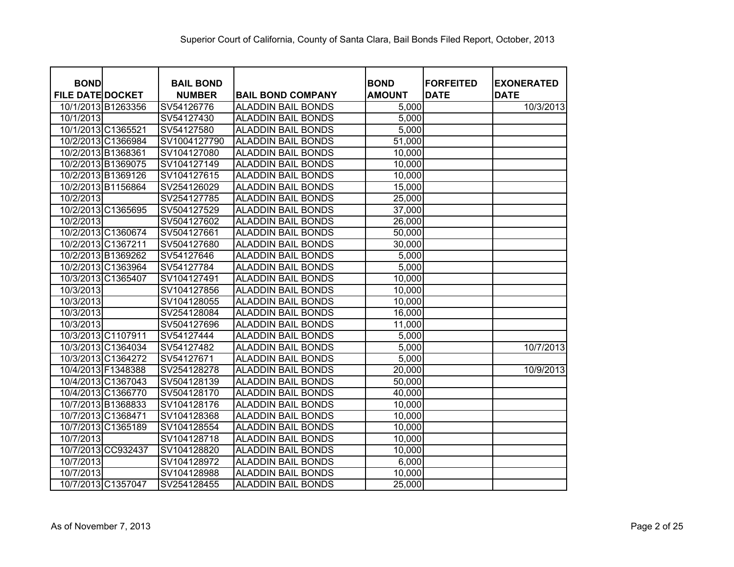| <b>BOND</b><br><b>FILE DATE DOCKET</b> |                    | <b>BAIL BOND</b>            |                                                       | <b>BOND</b>            | <b>FORFEITED</b><br><b>DATE</b> | <b>EXONERATED</b><br><b>DATE</b> |
|----------------------------------------|--------------------|-----------------------------|-------------------------------------------------------|------------------------|---------------------------------|----------------------------------|
|                                        | 10/1/2013 B1263356 | <b>NUMBER</b><br>SV54126776 | <b>BAIL BOND COMPANY</b><br><b>ALADDIN BAIL BONDS</b> | <b>AMOUNT</b><br>5,000 |                                 | 10/3/2013                        |
| 10/1/2013                              |                    | SV54127430                  | <b>ALADDIN BAIL BONDS</b>                             | 5,000                  |                                 |                                  |
|                                        | 10/1/2013 C1365521 | SV54127580                  | <b>ALADDIN BAIL BONDS</b>                             | 5,000                  |                                 |                                  |
|                                        | 10/2/2013 C1366984 | SV1004127790                | <b>ALADDIN BAIL BONDS</b>                             | 51,000                 |                                 |                                  |
| 10/2/2013 B1368361                     |                    | SV104127080                 | <b>ALADDIN BAIL BONDS</b>                             | 10,000                 |                                 |                                  |
|                                        | 10/2/2013 B1369075 | SV104127149                 | <b>ALADDIN BAIL BONDS</b>                             | 10,000                 |                                 |                                  |
|                                        | 10/2/2013 B1369126 | SV104127615                 | <b>ALADDIN BAIL BONDS</b>                             | 10,000                 |                                 |                                  |
|                                        | 10/2/2013 B1156864 | SV254126029                 | <b>ALADDIN BAIL BONDS</b>                             | 15,000                 |                                 |                                  |
| 10/2/2013                              |                    | SV254127785                 | <b>ALADDIN BAIL BONDS</b>                             | 25,000                 |                                 |                                  |
|                                        | 10/2/2013 C1365695 | SV504127529                 | <b>ALADDIN BAIL BONDS</b>                             | 37,000                 |                                 |                                  |
| 10/2/2013                              |                    | SV504127602                 | <b>ALADDIN BAIL BONDS</b>                             | 26,000                 |                                 |                                  |
|                                        | 10/2/2013 C1360674 | SV504127661                 | <b>ALADDIN BAIL BONDS</b>                             | 50,000                 |                                 |                                  |
|                                        | 10/2/2013 C1367211 | SV504127680                 | <b>ALADDIN BAIL BONDS</b>                             | 30,000                 |                                 |                                  |
|                                        | 10/2/2013 B1369262 | SV54127646                  | <b>ALADDIN BAIL BONDS</b>                             | 5,000                  |                                 |                                  |
|                                        |                    |                             | <b>ALADDIN BAIL BONDS</b>                             | 5,000                  |                                 |                                  |
|                                        | 10/2/2013 C1363964 | SV54127784                  | <b>ALADDIN BAIL BONDS</b>                             | 10,000                 |                                 |                                  |
| 10/3/2013                              | 10/3/2013 C1365407 | SV104127491<br>SV104127856  | <b>ALADDIN BAIL BONDS</b>                             | 10,000                 |                                 |                                  |
|                                        |                    |                             |                                                       | 10,000                 |                                 |                                  |
| 10/3/2013                              |                    | SV104128055                 | <b>ALADDIN BAIL BONDS</b>                             |                        |                                 |                                  |
| 10/3/2013                              |                    | SV254128084                 | <b>ALADDIN BAIL BONDS</b>                             | 16,000                 |                                 |                                  |
| 10/3/2013                              |                    | SV504127696                 | <b>ALADDIN BAIL BONDS</b>                             | 11,000                 |                                 |                                  |
|                                        | 10/3/2013 C1107911 | SV54127444                  | <b>ALADDIN BAIL BONDS</b>                             | 5,000                  |                                 |                                  |
|                                        | 10/3/2013 C1364034 | SV54127482                  | <b>ALADDIN BAIL BONDS</b>                             | 5,000                  |                                 | 10/7/2013                        |
|                                        | 10/3/2013 C1364272 | SV54127671                  | <b>ALADDIN BAIL BONDS</b>                             | 5,000                  |                                 |                                  |
|                                        | 10/4/2013 F1348388 | SV254128278                 | <b>ALADDIN BAIL BONDS</b>                             | 20,000                 |                                 | 10/9/2013                        |
|                                        | 10/4/2013 C1367043 | SV504128139                 | <b>ALADDIN BAIL BONDS</b>                             | 50,000                 |                                 |                                  |
|                                        | 10/4/2013 C1366770 | SV504128170                 | <b>ALADDIN BAIL BONDS</b>                             | 40,000                 |                                 |                                  |
|                                        | 10/7/2013 B1368833 | SV104128176                 | <b>ALADDIN BAIL BONDS</b>                             | 10,000                 |                                 |                                  |
|                                        | 10/7/2013 C1368471 | SV104128368                 | <b>ALADDIN BAIL BONDS</b>                             | 10,000                 |                                 |                                  |
|                                        | 10/7/2013 C1365189 | SV104128554                 | <b>ALADDIN BAIL BONDS</b>                             | 10,000                 |                                 |                                  |
| 10/7/2013                              |                    | SV104128718                 | <b>ALADDIN BAIL BONDS</b>                             | 10,000                 |                                 |                                  |
|                                        | 10/7/2013 CC932437 | SV104128820                 | <b>ALADDIN BAIL BONDS</b>                             | 10,000                 |                                 |                                  |
| 10/7/2013                              |                    | SV104128972                 | <b>ALADDIN BAIL BONDS</b>                             | 6,000                  |                                 |                                  |
| 10/7/2013                              |                    | SV104128988                 | <b>ALADDIN BAIL BONDS</b>                             | 10,000                 |                                 |                                  |
|                                        | 10/7/2013 C1357047 | SV254128455                 | <b>ALADDIN BAIL BONDS</b>                             | 25,000                 |                                 |                                  |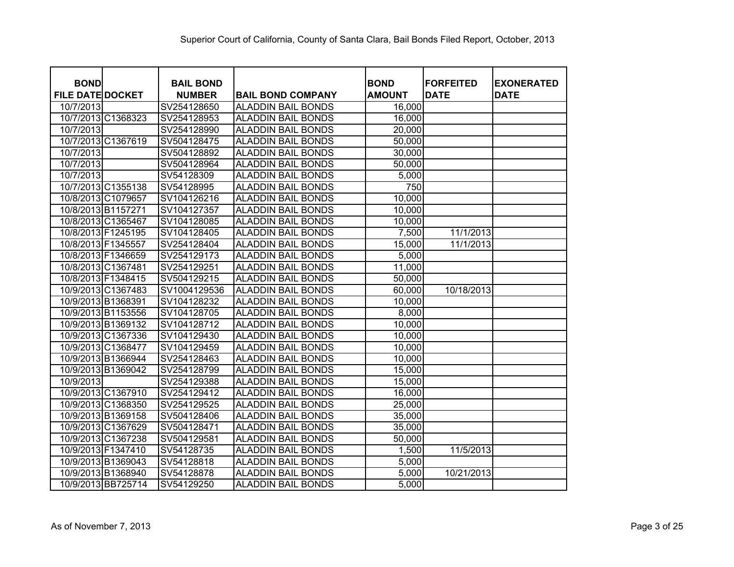| <b>BOND</b>             | <b>BAIL BOND</b> |                           | <b>BOND</b>   | <b>FORFEITED</b> | <b>EXONERATED</b> |
|-------------------------|------------------|---------------------------|---------------|------------------|-------------------|
| <b>FILE DATE DOCKET</b> | <b>NUMBER</b>    | <b>BAIL BOND COMPANY</b>  | <b>AMOUNT</b> | <b>DATE</b>      | <b>DATE</b>       |
| 10/7/2013               | SV254128650      | <b>ALADDIN BAIL BONDS</b> | 16,000        |                  |                   |
| 10/7/2013 C1368323      | SV254128953      | <b>ALADDIN BAIL BONDS</b> | 16,000        |                  |                   |
| 10/7/2013               | SV254128990      | <b>ALADDIN BAIL BONDS</b> | 20,000        |                  |                   |
| 10/7/2013 C1367619      | SV504128475      | <b>ALADDIN BAIL BONDS</b> | 50,000        |                  |                   |
| 10/7/2013               | SV504128892      | <b>ALADDIN BAIL BONDS</b> | 30,000        |                  |                   |
| 10/7/2013               | SV504128964      | <b>ALADDIN BAIL BONDS</b> | 50,000        |                  |                   |
| 10/7/2013               | SV54128309       | <b>ALADDIN BAIL BONDS</b> | 5,000         |                  |                   |
| 10/7/2013 C1355138      | SV54128995       | <b>ALADDIN BAIL BONDS</b> | 750           |                  |                   |
| 10/8/2013 C1079657      | SV104126216      | <b>ALADDIN BAIL BONDS</b> | 10,000        |                  |                   |
| 10/8/2013 B1157271      | SV104127357      | <b>ALADDIN BAIL BONDS</b> | 10,000        |                  |                   |
| 10/8/2013 C1365467      | SV104128085      | <b>ALADDIN BAIL BONDS</b> | 10,000        |                  |                   |
| 10/8/2013 F1245195      | SV104128405      | <b>ALADDIN BAIL BONDS</b> | 7,500         | 11/1/2013        |                   |
| 10/8/2013 F1345557      | SV254128404      | <b>ALADDIN BAIL BONDS</b> | 15,000        | 11/1/2013        |                   |
| 10/8/2013 F1346659      | SV254129173      | <b>ALADDIN BAIL BONDS</b> | 5,000         |                  |                   |
| 10/8/2013 C1367481      | SV254129251      | <b>ALADDIN BAIL BONDS</b> | 11,000        |                  |                   |
| 10/8/2013 F1348415      | SV504129215      | <b>ALADDIN BAIL BONDS</b> | 50,000        |                  |                   |
| 10/9/2013 C1367483      | SV1004129536     | <b>ALADDIN BAIL BONDS</b> | 60,000        | 10/18/2013       |                   |
| 10/9/2013 B1368391      | SV104128232      | <b>ALADDIN BAIL BONDS</b> | 10,000        |                  |                   |
| 10/9/2013 B1153556      | SV104128705      | <b>ALADDIN BAIL BONDS</b> | 8,000         |                  |                   |
| 10/9/2013 B1369132      | SV104128712      | <b>ALADDIN BAIL BONDS</b> | 10,000        |                  |                   |
| 10/9/2013 C1367336      | SV104129430      | <b>ALADDIN BAIL BONDS</b> | 10,000        |                  |                   |
| 10/9/2013 C1368477      | SV104129459      | <b>ALADDIN BAIL BONDS</b> | 10,000        |                  |                   |
| 10/9/2013 B1366944      | SV254128463      | <b>ALADDIN BAIL BONDS</b> | 10,000        |                  |                   |
| 10/9/2013 B1369042      | SV254128799      | <b>ALADDIN BAIL BONDS</b> | 15,000        |                  |                   |
| 10/9/2013               | SV254129388      | <b>ALADDIN BAIL BONDS</b> | 15,000        |                  |                   |
| 10/9/2013 C1367910      | SV254129412      | <b>ALADDIN BAIL BONDS</b> | 16,000        |                  |                   |
| 10/9/2013 C1368350      | SV254129525      | <b>ALADDIN BAIL BONDS</b> | 25,000        |                  |                   |
| 10/9/2013 B1369158      | SV504128406      | <b>ALADDIN BAIL BONDS</b> | 35,000        |                  |                   |
| 10/9/2013 C1367629      | SV504128471      | <b>ALADDIN BAIL BONDS</b> | 35,000        |                  |                   |
| 10/9/2013 C1367238      | SV504129581      | <b>ALADDIN BAIL BONDS</b> | 50,000        |                  |                   |
| 10/9/2013 F1347410      | SV54128735       | <b>ALADDIN BAIL BONDS</b> | 1,500         | 11/5/2013        |                   |
| 10/9/2013 B1369043      | SV54128818       | <b>ALADDIN BAIL BONDS</b> | 5,000         |                  |                   |
| 10/9/2013 B1368940      | SV54128878       | <b>ALADDIN BAIL BONDS</b> | 5,000         | 10/21/2013       |                   |
| 10/9/2013 BB725714      | SV54129250       | <b>ALADDIN BAIL BONDS</b> | 5,000         |                  |                   |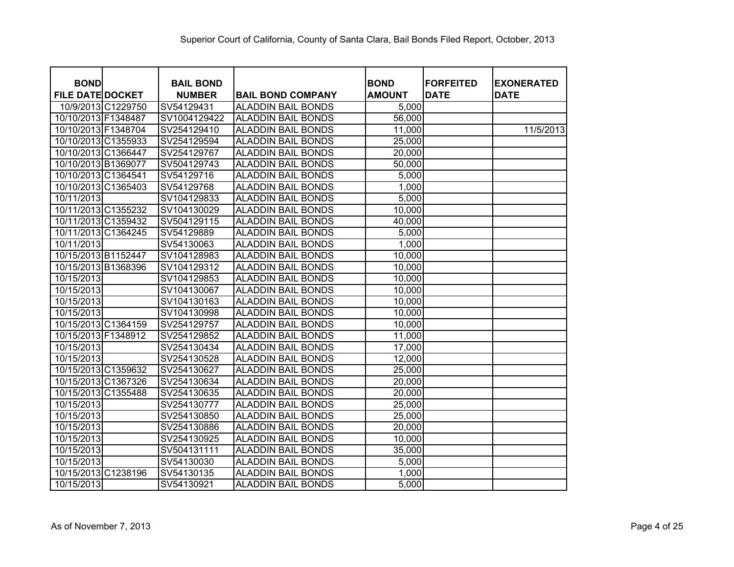| <b>BOND</b>             |                    | <b>BAIL BOND</b> |                           | <b>BOND</b>   | <b>FORFEITED</b> | <b>EXONERATED</b> |
|-------------------------|--------------------|------------------|---------------------------|---------------|------------------|-------------------|
| <b>FILE DATE DOCKET</b> |                    | <b>NUMBER</b>    | <b>BAIL BOND COMPANY</b>  | <b>AMOUNT</b> | <b>DATE</b>      | <b>DATE</b>       |
|                         | 10/9/2013 C1229750 | SV54129431       | <b>ALADDIN BAIL BONDS</b> | 5,000         |                  |                   |
| 10/10/2013 F1348487     |                    | SV1004129422     | <b>ALADDIN BAIL BONDS</b> | 56,000        |                  |                   |
| 10/10/2013 F1348704     |                    | SV254129410      | <b>ALADDIN BAIL BONDS</b> | 11,000        |                  | 11/5/2013         |
| 10/10/2013 C1355933     |                    | SV254129594      | <b>ALADDIN BAIL BONDS</b> | 25,000        |                  |                   |
| 10/10/2013 C1366447     |                    | SV254129767      | <b>ALADDIN BAIL BONDS</b> | 20,000        |                  |                   |
| 10/10/2013 B1369077     |                    | SV504129743      | <b>ALADDIN BAIL BONDS</b> | 50,000        |                  |                   |
| 10/10/2013 C1364541     |                    | SV54129716       | <b>ALADDIN BAIL BONDS</b> | 5,000         |                  |                   |
| 10/10/2013 C1365403     |                    | SV54129768       | <b>ALADDIN BAIL BONDS</b> | 1,000         |                  |                   |
| 10/11/2013              |                    | SV104129833      | <b>ALADDIN BAIL BONDS</b> | 5,000         |                  |                   |
| 10/11/2013 C1355232     |                    | SV104130029      | <b>ALADDIN BAIL BONDS</b> | 10,000        |                  |                   |
| 10/11/2013 C1359432     |                    | SV504129115      | <b>ALADDIN BAIL BONDS</b> | 40,000        |                  |                   |
| 10/11/2013 C1364245     |                    | SV54129889       | <b>ALADDIN BAIL BONDS</b> | 5,000         |                  |                   |
| 10/11/2013              |                    | SV54130063       | <b>ALADDIN BAIL BONDS</b> | 1,000         |                  |                   |
| 10/15/2013 B1152447     |                    | SV104128983      | <b>ALADDIN BAIL BONDS</b> | 10,000        |                  |                   |
| 10/15/2013 B1368396     |                    | SV104129312      | <b>ALADDIN BAIL BONDS</b> | 10,000        |                  |                   |
| 10/15/2013              |                    | SV104129853      | <b>ALADDIN BAIL BONDS</b> | 10,000        |                  |                   |
| 10/15/2013              |                    | SV104130067      | <b>ALADDIN BAIL BONDS</b> | 10,000        |                  |                   |
| 10/15/2013              |                    | SV104130163      | <b>ALADDIN BAIL BONDS</b> | 10,000        |                  |                   |
| 10/15/2013              |                    | SV104130998      | <b>ALADDIN BAIL BONDS</b> | 10,000        |                  |                   |
| 10/15/2013 C1364159     |                    | SV254129757      | <b>ALADDIN BAIL BONDS</b> | 10,000        |                  |                   |
| 10/15/2013 F1348912     |                    | SV254129852      | <b>ALADDIN BAIL BONDS</b> | 11,000        |                  |                   |
| 10/15/2013              |                    | SV254130434      | <b>ALADDIN BAIL BONDS</b> | 17,000        |                  |                   |
| 10/15/2013              |                    | SV254130528      | <b>ALADDIN BAIL BONDS</b> | 12,000        |                  |                   |
| 10/15/2013 C1359632     |                    | SV254130627      | <b>ALADDIN BAIL BONDS</b> | 25,000        |                  |                   |
| 10/15/2013 C1367326     |                    | SV254130634      | <b>ALADDIN BAIL BONDS</b> | 20,000        |                  |                   |
| 10/15/2013 C1355488     |                    | SV254130635      | <b>ALADDIN BAIL BONDS</b> | 20,000        |                  |                   |
| 10/15/2013              |                    | SV254130777      | <b>ALADDIN BAIL BONDS</b> | 25,000        |                  |                   |
| 10/15/2013              |                    | SV254130850      | <b>ALADDIN BAIL BONDS</b> | 25,000        |                  |                   |
| 10/15/2013              |                    | SV254130886      | <b>ALADDIN BAIL BONDS</b> | 20,000        |                  |                   |
| 10/15/2013              |                    | SV254130925      | <b>ALADDIN BAIL BONDS</b> | 10,000        |                  |                   |
| 10/15/2013              |                    | SV504131111      | <b>ALADDIN BAIL BONDS</b> | 35,000        |                  |                   |
| 10/15/2013              |                    | SV54130030       | <b>ALADDIN BAIL BONDS</b> | 5,000         |                  |                   |
| 10/15/2013 C1238196     |                    | SV54130135       | <b>ALADDIN BAIL BONDS</b> | 1,000         |                  |                   |
| 10/15/2013              |                    | SV54130921       | <b>ALADDIN BAIL BONDS</b> | 5,000         |                  |                   |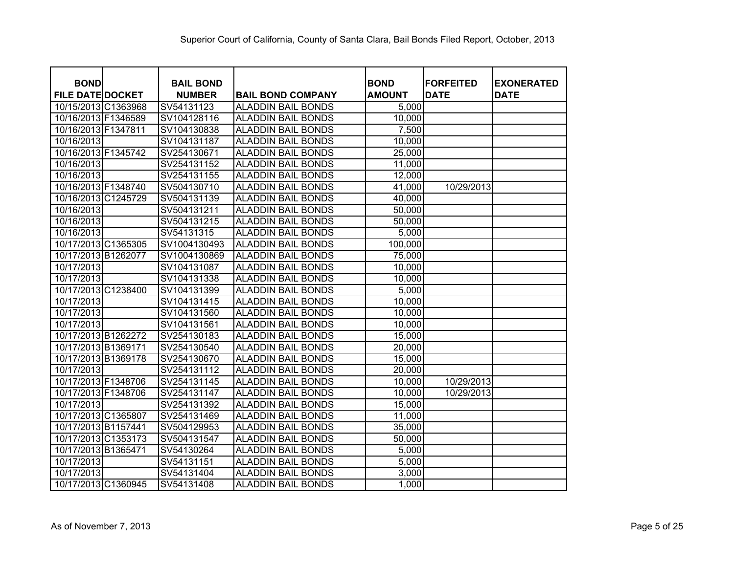| <b>BOND</b><br><b>FILE DATE DOCKET</b> | <b>BAIL BOND</b>            |                                                       | <b>BOND</b><br><b>AMOUNT</b> | <b>FORFEITED</b><br><b>DATE</b> | <b>EXONERATED</b><br><b>DATE</b> |
|----------------------------------------|-----------------------------|-------------------------------------------------------|------------------------------|---------------------------------|----------------------------------|
| 10/15/2013 C1363968                    | <b>NUMBER</b><br>SV54131123 | <b>BAIL BOND COMPANY</b><br><b>ALADDIN BAIL BONDS</b> | 5,000                        |                                 |                                  |
| 10/16/2013 F1346589                    | SV104128116                 | <b>ALADDIN BAIL BONDS</b>                             | 10,000                       |                                 |                                  |
| 10/16/2013 F1347811                    | SV104130838                 | <b>ALADDIN BAIL BONDS</b>                             | 7,500                        |                                 |                                  |
| 10/16/2013                             | SV104131187                 | <b>ALADDIN BAIL BONDS</b>                             | 10,000                       |                                 |                                  |
| 10/16/2013 F1345742                    | SV254130671                 | <b>ALADDIN BAIL BONDS</b>                             | 25,000                       |                                 |                                  |
|                                        |                             | <b>ALADDIN BAIL BONDS</b>                             |                              |                                 |                                  |
| 10/16/2013                             | SV254131152                 |                                                       | 11,000                       |                                 |                                  |
| 10/16/2013                             | SV254131155                 | <b>ALADDIN BAIL BONDS</b>                             | 12,000                       |                                 |                                  |
| 10/16/2013 F1348740                    | SV504130710                 | <b>ALADDIN BAIL BONDS</b>                             | 41,000                       | 10/29/2013                      |                                  |
| 10/16/2013 C1245729                    | SV504131139                 | <b>ALADDIN BAIL BONDS</b>                             | 40,000                       |                                 |                                  |
| 10/16/2013                             | SV504131211                 | <b>ALADDIN BAIL BONDS</b>                             | 50,000                       |                                 |                                  |
| 10/16/2013                             | SV504131215                 | <b>ALADDIN BAIL BONDS</b>                             | 50,000                       |                                 |                                  |
| 10/16/2013                             | SV54131315                  | <b>ALADDIN BAIL BONDS</b>                             | 5,000                        |                                 |                                  |
| 10/17/2013 C1365305                    | SV1004130493                | <b>ALADDIN BAIL BONDS</b>                             | 100,000                      |                                 |                                  |
| 10/17/2013 B1262077                    | SV1004130869                | <b>ALADDIN BAIL BONDS</b>                             | 75,000                       |                                 |                                  |
| 10/17/2013                             | SV104131087                 | <b>ALADDIN BAIL BONDS</b>                             | 10,000                       |                                 |                                  |
| 10/17/2013                             | SV104131338                 | <b>ALADDIN BAIL BONDS</b>                             | 10,000                       |                                 |                                  |
| 10/17/2013 C1238400                    | SV104131399                 | <b>ALADDIN BAIL BONDS</b>                             | 5,000                        |                                 |                                  |
| 10/17/2013                             | SV104131415                 | <b>ALADDIN BAIL BONDS</b>                             | 10,000                       |                                 |                                  |
| 10/17/2013                             | SV104131560                 | <b>ALADDIN BAIL BONDS</b>                             | 10,000                       |                                 |                                  |
| 10/17/2013                             | SV104131561                 | <b>ALADDIN BAIL BONDS</b>                             | 10,000                       |                                 |                                  |
| 10/17/2013 B1262272                    | SV254130183                 | <b>ALADDIN BAIL BONDS</b>                             | 15,000                       |                                 |                                  |
| 10/17/2013 B1369171                    | SV254130540                 | <b>ALADDIN BAIL BONDS</b>                             | 20,000                       |                                 |                                  |
| 10/17/2013 B1369178                    | SV254130670                 | <b>ALADDIN BAIL BONDS</b>                             | 15,000                       |                                 |                                  |
| 10/17/2013                             | SV254131112                 | <b>ALADDIN BAIL BONDS</b>                             | 20,000                       |                                 |                                  |
| 10/17/2013 F1348706                    | SV254131145                 | <b>ALADDIN BAIL BONDS</b>                             | 10,000                       | 10/29/2013                      |                                  |
| 10/17/2013 F1348706                    | SV254131147                 | <b>ALADDIN BAIL BONDS</b>                             | 10,000                       | 10/29/2013                      |                                  |
| 10/17/2013                             | SV254131392                 | <b>ALADDIN BAIL BONDS</b>                             | 15,000                       |                                 |                                  |
| 10/17/2013 C1365807                    | SV254131469                 | <b>ALADDIN BAIL BONDS</b>                             | 11,000                       |                                 |                                  |
| 10/17/2013 B1157441                    | SV504129953                 | <b>ALADDIN BAIL BONDS</b>                             | 35,000                       |                                 |                                  |
| 10/17/2013 C1353173                    | SV504131547                 | <b>ALADDIN BAIL BONDS</b>                             | 50,000                       |                                 |                                  |
| 10/17/2013 B1365471                    | SV54130264                  | <b>ALADDIN BAIL BONDS</b>                             | 5,000                        |                                 |                                  |
| 10/17/2013                             | SV54131151                  | <b>ALADDIN BAIL BONDS</b>                             | 5,000                        |                                 |                                  |
| 10/17/2013                             | SV54131404                  | <b>ALADDIN BAIL BONDS</b>                             | 3,000                        |                                 |                                  |
| 10/17/2013 C1360945                    | SV54131408                  | <b>ALADDIN BAIL BONDS</b>                             | 1,000                        |                                 |                                  |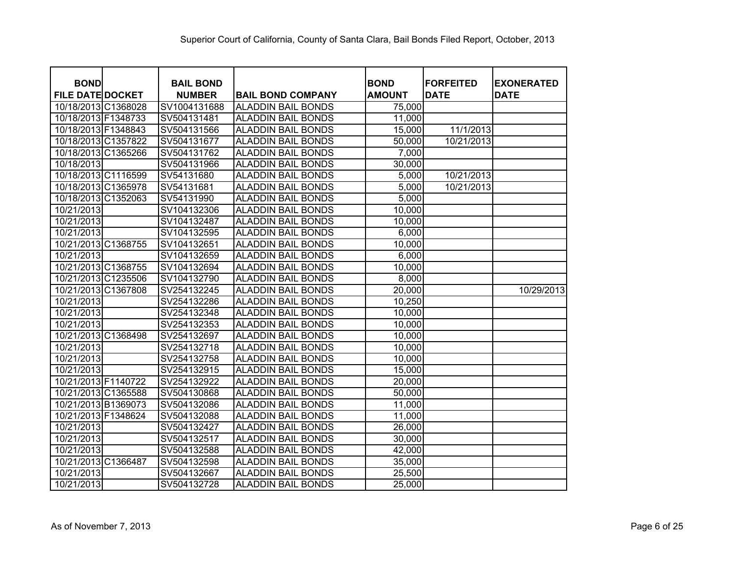| <b>BOND</b>             | <b>BAIL BOND</b> |                           | <b>BOND</b>   | <b>FORFEITED</b> | <b>EXONERATED</b> |
|-------------------------|------------------|---------------------------|---------------|------------------|-------------------|
| <b>FILE DATE DOCKET</b> | <b>NUMBER</b>    | <b>BAIL BOND COMPANY</b>  | <b>AMOUNT</b> | <b>DATE</b>      | <b>DATE</b>       |
| 10/18/2013 C1368028     | SV1004131688     | <b>ALADDIN BAIL BONDS</b> | 75,000        |                  |                   |
| 10/18/2013 F1348733     | SV504131481      | <b>ALADDIN BAIL BONDS</b> | 11,000        |                  |                   |
| 10/18/2013 F1348843     | SV504131566      | <b>ALADDIN BAIL BONDS</b> | 15,000        | 11/1/2013        |                   |
| 10/18/2013 C1357822     | SV504131677      | <b>ALADDIN BAIL BONDS</b> | 50,000        | 10/21/2013       |                   |
| 10/18/2013 C1365266     | SV504131762      | <b>ALADDIN BAIL BONDS</b> | 7,000         |                  |                   |
| 10/18/2013              | SV504131966      | <b>ALADDIN BAIL BONDS</b> | 30,000        |                  |                   |
| 10/18/2013 C1116599     | SV54131680       | <b>ALADDIN BAIL BONDS</b> | 5,000         | 10/21/2013       |                   |
| 10/18/2013 C1365978     | SV54131681       | <b>ALADDIN BAIL BONDS</b> | 5,000         | 10/21/2013       |                   |
| 10/18/2013 C1352063     | SV54131990       | <b>ALADDIN BAIL BONDS</b> | 5,000         |                  |                   |
| 10/21/2013              | SV104132306      | <b>ALADDIN BAIL BONDS</b> | 10,000        |                  |                   |
| 10/21/2013              | SV104132487      | <b>ALADDIN BAIL BONDS</b> | 10,000        |                  |                   |
| 10/21/2013              | SV104132595      | <b>ALADDIN BAIL BONDS</b> | 6,000         |                  |                   |
| 10/21/2013 C1368755     | SV104132651      | <b>ALADDIN BAIL BONDS</b> | 10,000        |                  |                   |
| 10/21/2013              | SV104132659      | <b>ALADDIN BAIL BONDS</b> | 6,000         |                  |                   |
| 10/21/2013 C1368755     | SV104132694      | <b>ALADDIN BAIL BONDS</b> | 10,000        |                  |                   |
| 10/21/2013 C1235506     | SV104132790      | <b>ALADDIN BAIL BONDS</b> | 8,000         |                  |                   |
| 10/21/2013 C1367808     | SV254132245      | <b>ALADDIN BAIL BONDS</b> | 20,000        |                  | 10/29/2013        |
| 10/21/2013              | SV254132286      | <b>ALADDIN BAIL BONDS</b> | 10,250        |                  |                   |
| 10/21/2013              | SV254132348      | <b>ALADDIN BAIL BONDS</b> | 10,000        |                  |                   |
| 10/21/2013              | SV254132353      | <b>ALADDIN BAIL BONDS</b> | 10,000        |                  |                   |
| 10/21/2013 C1368498     | SV254132697      | <b>ALADDIN BAIL BONDS</b> | 10,000        |                  |                   |
| 10/21/2013              | SV254132718      | <b>ALADDIN BAIL BONDS</b> | 10,000        |                  |                   |
| 10/21/2013              | SV254132758      | <b>ALADDIN BAIL BONDS</b> | 10,000        |                  |                   |
| 10/21/2013              | SV254132915      | <b>ALADDIN BAIL BONDS</b> | 15,000        |                  |                   |
| 10/21/2013 F1140722     | SV254132922      | <b>ALADDIN BAIL BONDS</b> | 20,000        |                  |                   |
| 10/21/2013 C1365588     | SV504130868      | <b>ALADDIN BAIL BONDS</b> | 50,000        |                  |                   |
| 10/21/2013 B1369073     | SV504132086      | <b>ALADDIN BAIL BONDS</b> | 11,000        |                  |                   |
| 10/21/2013 F1348624     | SV504132088      | <b>ALADDIN BAIL BONDS</b> | 11,000        |                  |                   |
| 10/21/2013              | SV504132427      | <b>ALADDIN BAIL BONDS</b> | 26,000        |                  |                   |
| 10/21/2013              | SV504132517      | <b>ALADDIN BAIL BONDS</b> | 30,000        |                  |                   |
| 10/21/2013              | SV504132588      | <b>ALADDIN BAIL BONDS</b> | 42,000        |                  |                   |
| 10/21/2013 C1366487     | SV504132598      | <b>ALADDIN BAIL BONDS</b> | 35,000        |                  |                   |
| 10/21/2013              | SV504132667      | <b>ALADDIN BAIL BONDS</b> | 25,500        |                  |                   |
| 10/21/2013              | SV504132728      | <b>ALADDIN BAIL BONDS</b> | 25,000        |                  |                   |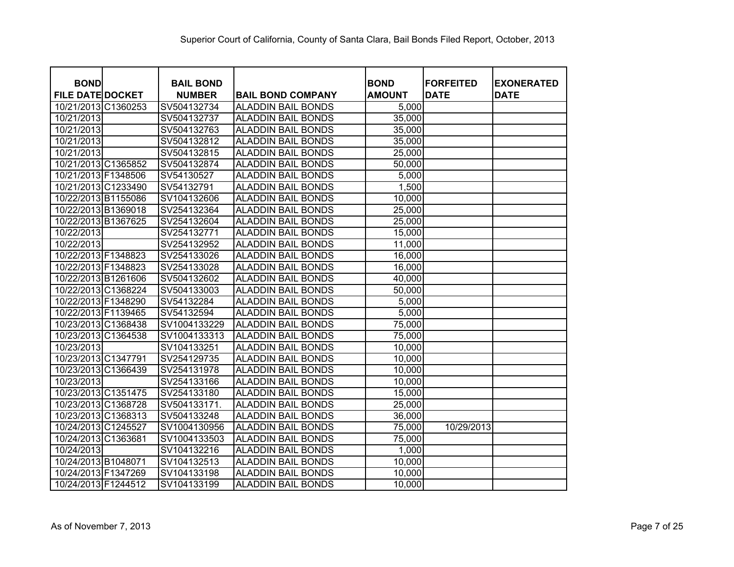| <b>BOND</b>             | <b>BAIL BOND</b> |                           | <b>BOND</b>   | <b>FORFEITED</b> | <b>EXONERATED</b> |
|-------------------------|------------------|---------------------------|---------------|------------------|-------------------|
| <b>FILE DATE DOCKET</b> | <b>NUMBER</b>    | <b>BAIL BOND COMPANY</b>  | <b>AMOUNT</b> | <b>DATE</b>      | <b>DATE</b>       |
| 10/21/2013 C1360253     | SV504132734      | <b>ALADDIN BAIL BONDS</b> | 5,000         |                  |                   |
| 10/21/2013              | SV504132737      | ALADDIN BAIL BONDS        | 35,000        |                  |                   |
| 10/21/2013              | SV504132763      | <b>ALADDIN BAIL BONDS</b> | 35,000        |                  |                   |
| 10/21/2013              | SV504132812      | <b>ALADDIN BAIL BONDS</b> | 35,000        |                  |                   |
| 10/21/2013              | SV504132815      | <b>ALADDIN BAIL BONDS</b> | 25,000        |                  |                   |
| 10/21/2013 C1365852     | SV504132874      | <b>ALADDIN BAIL BONDS</b> | 50,000        |                  |                   |
| 10/21/2013 F1348506     | SV54130527       | <b>ALADDIN BAIL BONDS</b> | 5,000         |                  |                   |
| 10/21/2013 C1233490     | SV54132791       | <b>ALADDIN BAIL BONDS</b> | 1,500         |                  |                   |
| 10/22/2013 B1155086     | SV104132606      | <b>ALADDIN BAIL BONDS</b> | 10,000        |                  |                   |
| 10/22/2013 B1369018     | SV254132364      | <b>ALADDIN BAIL BONDS</b> | 25,000        |                  |                   |
| 10/22/2013 B1367625     | SV254132604      | <b>ALADDIN BAIL BONDS</b> | 25,000        |                  |                   |
| 10/22/2013              | SV254132771      | <b>ALADDIN BAIL BONDS</b> | 15,000        |                  |                   |
| 10/22/2013              | SV254132952      | <b>ALADDIN BAIL BONDS</b> | 11,000        |                  |                   |
| 10/22/2013 F1348823     | SV254133026      | <b>ALADDIN BAIL BONDS</b> | 16,000        |                  |                   |
| 10/22/2013 F1348823     | SV254133028      | <b>ALADDIN BAIL BONDS</b> | 16,000        |                  |                   |
| 10/22/2013 B1261606     | SV504132602      | <b>ALADDIN BAIL BONDS</b> | 40,000        |                  |                   |
| 10/22/2013 C1368224     | SV504133003      | <b>ALADDIN BAIL BONDS</b> | 50,000        |                  |                   |
| 10/22/2013 F1348290     | SV54132284       | <b>ALADDIN BAIL BONDS</b> | 5,000         |                  |                   |
| 10/22/2013 F1139465     | SV54132594       | <b>ALADDIN BAIL BONDS</b> | 5,000         |                  |                   |
| 10/23/2013 C1368438     | SV1004133229     | <b>ALADDIN BAIL BONDS</b> | 75,000        |                  |                   |
| 10/23/2013 C1364538     | SV1004133313     | <b>ALADDIN BAIL BONDS</b> | 75,000        |                  |                   |
| 10/23/2013              | SV104133251      | <b>ALADDIN BAIL BONDS</b> | 10,000        |                  |                   |
| 10/23/2013 C1347791     | SV254129735      | <b>ALADDIN BAIL BONDS</b> | 10,000        |                  |                   |
| 10/23/2013 C1366439     | SV254131978      | ALADDIN BAIL BONDS        | 10,000        |                  |                   |
| 10/23/2013              | SV254133166      | <b>ALADDIN BAIL BONDS</b> | 10,000        |                  |                   |
| 10/23/2013 C1351475     | SV254133180      | ALADDIN BAIL BONDS        | 15,000        |                  |                   |
| 10/23/2013 C1368728     | SV504133171.     | <b>ALADDIN BAIL BONDS</b> | 25,000        |                  |                   |
| 10/23/2013 C1368313     | SV504133248      | ALADDIN BAIL BONDS        | 36,000        |                  |                   |
| 10/24/2013 C1245527     | SV1004130956     | <b>ALADDIN BAIL BONDS</b> | 75,000        | 10/29/2013       |                   |
| 10/24/2013 C1363681     | SV1004133503     | <b>ALADDIN BAIL BONDS</b> | 75,000        |                  |                   |
| 10/24/2013              | SV104132216      | <b>ALADDIN BAIL BONDS</b> | 1,000         |                  |                   |
| 10/24/2013 B1048071     | SV104132513      | <b>ALADDIN BAIL BONDS</b> | 10,000        |                  |                   |
| 10/24/2013 F1347269     | SV104133198      | <b>ALADDIN BAIL BONDS</b> | 10,000        |                  |                   |
| 10/24/2013 F1244512     | SV104133199      | <b>ALADDIN BAIL BONDS</b> | 10,000        |                  |                   |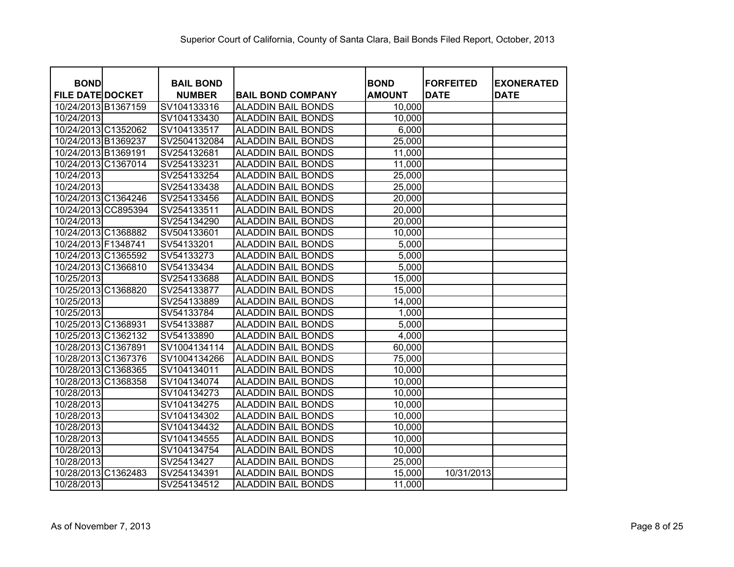| <b>BOND</b>             | <b>BAIL BOND</b> |                           | <b>BOND</b>   | <b>FORFEITED</b> | <b>EXONERATED</b> |
|-------------------------|------------------|---------------------------|---------------|------------------|-------------------|
| <b>FILE DATE DOCKET</b> | <b>NUMBER</b>    | <b>BAIL BOND COMPANY</b>  | <b>AMOUNT</b> | <b>DATE</b>      | <b>DATE</b>       |
| 10/24/2013 B1367159     | SV104133316      | <b>ALADDIN BAIL BONDS</b> | 10,000        |                  |                   |
| 10/24/2013              | SV104133430      | <b>ALADDIN BAIL BONDS</b> | 10,000        |                  |                   |
| 10/24/2013 C1352062     | SV104133517      | <b>ALADDIN BAIL BONDS</b> | 6,000         |                  |                   |
| 10/24/2013 B1369237     | SV2504132084     | <b>ALADDIN BAIL BONDS</b> | 25,000        |                  |                   |
| 10/24/2013 B1369191     | SV254132681      | <b>ALADDIN BAIL BONDS</b> | 11,000        |                  |                   |
| 10/24/2013 C1367014     | SV254133231      | <b>ALADDIN BAIL BONDS</b> | 11,000        |                  |                   |
| 10/24/2013              | SV254133254      | <b>ALADDIN BAIL BONDS</b> | 25,000        |                  |                   |
| 10/24/2013              | SV254133438      | <b>ALADDIN BAIL BONDS</b> | 25,000        |                  |                   |
| 10/24/2013 C1364246     | SV254133456      | <b>ALADDIN BAIL BONDS</b> | 20,000        |                  |                   |
| 10/24/2013 CC895394     | SV254133511      | <b>ALADDIN BAIL BONDS</b> | 20,000        |                  |                   |
| 10/24/2013              | SV254134290      | <b>ALADDIN BAIL BONDS</b> | 20,000        |                  |                   |
| 10/24/2013 C1368882     | SV504133601      | <b>ALADDIN BAIL BONDS</b> | 10,000        |                  |                   |
| 10/24/2013 F1348741     | SV54133201       | <b>ALADDIN BAIL BONDS</b> | 5,000         |                  |                   |
| 10/24/2013 C1365592     | SV54133273       | <b>ALADDIN BAIL BONDS</b> | 5,000         |                  |                   |
| 10/24/2013 C1366810     | SV54133434       | <b>ALADDIN BAIL BONDS</b> | 5,000         |                  |                   |
| 10/25/2013              | SV254133688      | <b>ALADDIN BAIL BONDS</b> | 15,000        |                  |                   |
| 10/25/2013 C1368820     | SV254133877      | <b>ALADDIN BAIL BONDS</b> | 15,000        |                  |                   |
| 10/25/2013              | SV254133889      | <b>ALADDIN BAIL BONDS</b> | 14,000        |                  |                   |
| 10/25/2013              | SV54133784       | <b>ALADDIN BAIL BONDS</b> | 1,000         |                  |                   |
| 10/25/2013 C1368931     | SV54133887       | <b>ALADDIN BAIL BONDS</b> | 5,000         |                  |                   |
| 10/25/2013 C1362132     | SV54133890       | <b>ALADDIN BAIL BONDS</b> | 4,000         |                  |                   |
| 10/28/2013 C1367891     | SV1004134114     | <b>ALADDIN BAIL BONDS</b> | 60,000        |                  |                   |
| 10/28/2013 C1367376     | SV1004134266     | <b>ALADDIN BAIL BONDS</b> | 75,000        |                  |                   |
| 10/28/2013 C1368365     | SV104134011      | <b>ALADDIN BAIL BONDS</b> | 10,000        |                  |                   |
| 10/28/2013 C1368358     | SV104134074      | <b>ALADDIN BAIL BONDS</b> | 10,000        |                  |                   |
| 10/28/2013              | SV104134273      | <b>ALADDIN BAIL BONDS</b> | 10,000        |                  |                   |
| 10/28/2013              | SV104134275      | <b>ALADDIN BAIL BONDS</b> | 10,000        |                  |                   |
| 10/28/2013              | SV104134302      | <b>ALADDIN BAIL BONDS</b> | 10,000        |                  |                   |
| 10/28/2013              | SV104134432      | <b>ALADDIN BAIL BONDS</b> | 10,000        |                  |                   |
| 10/28/2013              | SV104134555      | <b>ALADDIN BAIL BONDS</b> | 10,000        |                  |                   |
| 10/28/2013              | SV104134754      | <b>ALADDIN BAIL BONDS</b> | 10,000        |                  |                   |
| 10/28/2013              | SV25413427       | <b>ALADDIN BAIL BONDS</b> | 25,000        |                  |                   |
| 10/28/2013 C1362483     | SV254134391      | <b>ALADDIN BAIL BONDS</b> | 15,000        | 10/31/2013       |                   |
| 10/28/2013              | SV254134512      | <b>ALADDIN BAIL BONDS</b> | 11,000        |                  |                   |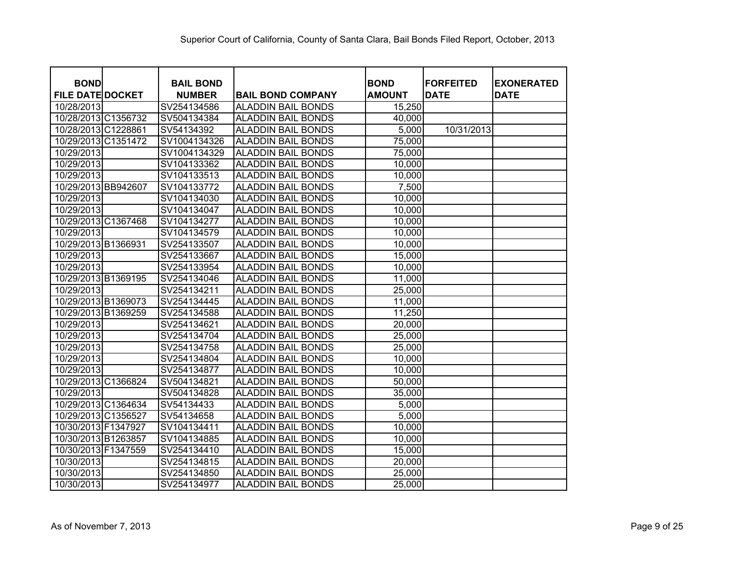| <b>BOND</b>                           | <b>BAIL BOND</b>             |                                                       | <b>BOND</b><br><b>AMOUNT</b> | <b>IFORFEITED</b><br><b>DATE</b> | <b>EXONERATED</b><br><b>DATE</b> |
|---------------------------------------|------------------------------|-------------------------------------------------------|------------------------------|----------------------------------|----------------------------------|
| <b>FILE DATE DOCKET</b><br>10/28/2013 | <b>NUMBER</b><br>SV254134586 | <b>BAIL BOND COMPANY</b><br><b>ALADDIN BAIL BONDS</b> | 15,250                       |                                  |                                  |
| 10/28/2013 C1356732                   | SV504134384                  | <b>ALADDIN BAIL BONDS</b>                             | 40,000                       |                                  |                                  |
| 10/28/2013 C1228861                   | SV54134392                   | <b>ALADDIN BAIL BONDS</b>                             | 5,000                        | 10/31/2013                       |                                  |
| 10/29/2013 C1351472                   | SV1004134326                 | <b>ALADDIN BAIL BONDS</b>                             | 75,000                       |                                  |                                  |
| 10/29/2013                            | SV1004134329                 | <b>ALADDIN BAIL BONDS</b>                             | 75,000                       |                                  |                                  |
|                                       |                              | <b>ALADDIN BAIL BONDS</b>                             |                              |                                  |                                  |
| 10/29/2013                            | SV104133362                  |                                                       | 10,000                       |                                  |                                  |
| 10/29/2013                            | SV104133513                  | <b>ALADDIN BAIL BONDS</b>                             | 10,000                       |                                  |                                  |
| 10/29/2013 BB942607                   | SV104133772                  | <b>ALADDIN BAIL BONDS</b>                             | 7,500                        |                                  |                                  |
| 10/29/2013                            | SV104134030                  | <b>ALADDIN BAIL BONDS</b>                             | 10,000                       |                                  |                                  |
| 10/29/2013                            | SV104134047                  | <b>ALADDIN BAIL BONDS</b>                             | 10,000                       |                                  |                                  |
| 10/29/2013 C1367468                   | SV104134277                  | <b>ALADDIN BAIL BONDS</b>                             | 10,000                       |                                  |                                  |
| 10/29/2013                            | SV104134579                  | <b>ALADDIN BAIL BONDS</b>                             | 10,000                       |                                  |                                  |
| 10/29/2013 B1366931                   | SV254133507                  | <b>ALADDIN BAIL BONDS</b>                             | 10,000                       |                                  |                                  |
| 10/29/2013                            | SV254133667                  | <b>ALADDIN BAIL BONDS</b>                             | 15,000                       |                                  |                                  |
| 10/29/2013                            | SV254133954                  | <b>ALADDIN BAIL BONDS</b>                             | 10,000                       |                                  |                                  |
| 10/29/2013 B1369195                   | SV254134046                  | <b>ALADDIN BAIL BONDS</b>                             | 11,000                       |                                  |                                  |
| 10/29/2013                            | SV254134211                  | <b>ALADDIN BAIL BONDS</b>                             | 25,000                       |                                  |                                  |
| 10/29/2013 B1369073                   | SV254134445                  | <b>ALADDIN BAIL BONDS</b>                             | 11,000                       |                                  |                                  |
| 10/29/2013 B1369259                   | SV254134588                  | <b>ALADDIN BAIL BONDS</b>                             | 11,250                       |                                  |                                  |
| 10/29/2013                            | SV254134621                  | <b>ALADDIN BAIL BONDS</b>                             | 20,000                       |                                  |                                  |
| 10/29/2013                            | SV254134704                  | <b>ALADDIN BAIL BONDS</b>                             | 25,000                       |                                  |                                  |
| 10/29/2013                            | SV254134758                  | <b>ALADDIN BAIL BONDS</b>                             | 25,000                       |                                  |                                  |
| 10/29/2013                            | SV254134804                  | <b>ALADDIN BAIL BONDS</b>                             | 10,000                       |                                  |                                  |
| 10/29/2013                            | SV254134877                  | <b>ALADDIN BAIL BONDS</b>                             | 10,000                       |                                  |                                  |
| 10/29/2013 C1366824                   | SV504134821                  | <b>ALADDIN BAIL BONDS</b>                             | 50,000                       |                                  |                                  |
| 10/29/2013                            | SV504134828                  | <b>ALADDIN BAIL BONDS</b>                             | 35,000                       |                                  |                                  |
| 10/29/2013 C1364634                   | SV54134433                   | <b>ALADDIN BAIL BONDS</b>                             | 5,000                        |                                  |                                  |
| 10/29/2013 C1356527                   | SV54134658                   | <b>ALADDIN BAIL BONDS</b>                             | 5,000                        |                                  |                                  |
| 10/30/2013 F1347927                   | SV104134411                  | <b>ALADDIN BAIL BONDS</b>                             | 10,000                       |                                  |                                  |
| 10/30/2013 B1263857                   | SV104134885                  | <b>ALADDIN BAIL BONDS</b>                             | 10,000                       |                                  |                                  |
| 10/30/2013 F1347559                   | SV254134410                  | <b>ALADDIN BAIL BONDS</b>                             | 15,000                       |                                  |                                  |
| 10/30/2013                            | SV254134815                  | <b>ALADDIN BAIL BONDS</b>                             | 20,000                       |                                  |                                  |
| 10/30/2013                            | SV254134850                  | <b>ALADDIN BAIL BONDS</b>                             | 25,000                       |                                  |                                  |
| 10/30/2013                            | SV254134977                  | <b>ALADDIN BAIL BONDS</b>                             | 25,000                       |                                  |                                  |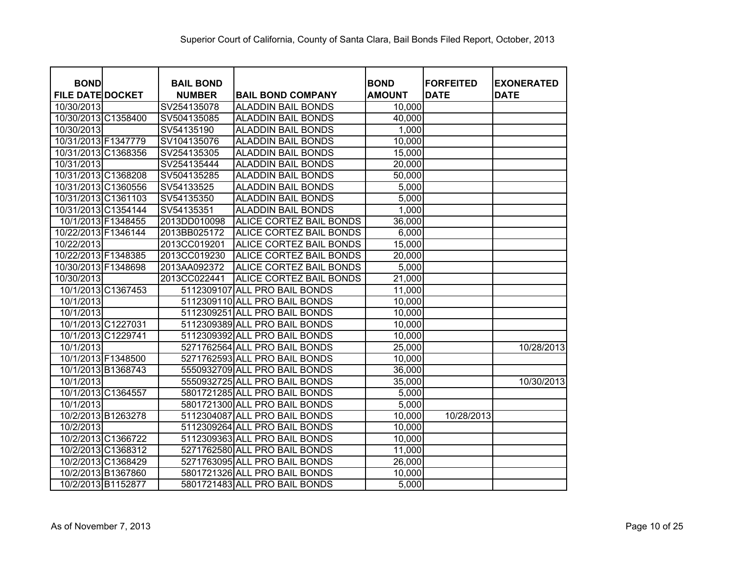| <b>BOND</b>             | <b>BAIL BOND</b> |                               | <b>BOND</b>   | <b>FORFEITED</b> | <b>EXONERATED</b> |
|-------------------------|------------------|-------------------------------|---------------|------------------|-------------------|
| <b>FILE DATE DOCKET</b> | <b>NUMBER</b>    | <b>BAIL BOND COMPANY</b>      | <b>AMOUNT</b> | <b>DATE</b>      | <b>DATE</b>       |
| 10/30/2013              | SV254135078      | <b>ALADDIN BAIL BONDS</b>     | 10,000        |                  |                   |
| 10/30/2013 C1358400     | SV504135085      | <b>ALADDIN BAIL BONDS</b>     | 40,000        |                  |                   |
| 10/30/2013              | SV54135190       | <b>ALADDIN BAIL BONDS</b>     | 1,000         |                  |                   |
| 10/31/2013 F1347779     | SV104135076      | <b>ALADDIN BAIL BONDS</b>     | 10,000        |                  |                   |
| 10/31/2013 C1368356     | SV254135305      | <b>ALADDIN BAIL BONDS</b>     | 15,000        |                  |                   |
| 10/31/2013              | SV254135444      | <b>ALADDIN BAIL BONDS</b>     | 20,000        |                  |                   |
| 10/31/2013 C1368208     | SV504135285      | <b>ALADDIN BAIL BONDS</b>     | 50,000        |                  |                   |
| 10/31/2013 C1360556     | SV54133525       | <b>ALADDIN BAIL BONDS</b>     | 5,000         |                  |                   |
| 10/31/2013 C1361103     | SV54135350       | <b>ALADDIN BAIL BONDS</b>     | 5,000         |                  |                   |
| 10/31/2013 C1354144     | SV54135351       | <b>ALADDIN BAIL BONDS</b>     | 1,000         |                  |                   |
| 10/1/2013 F1348455      | 2013DD010098     | ALICE CORTEZ BAIL BONDS       | 36,000        |                  |                   |
| 10/22/2013 F1346144     | 2013BB025172     | ALICE CORTEZ BAIL BONDS       | 6,000         |                  |                   |
| 10/22/2013              | 2013CC019201     | ALICE CORTEZ BAIL BONDS       | 15,000        |                  |                   |
| 10/22/2013 F1348385     | 2013CC019230     | ALICE CORTEZ BAIL BONDS       | 20,000        |                  |                   |
| 10/30/2013 F1348698     | 2013AA092372     | ALICE CORTEZ BAIL BONDS       | 5,000         |                  |                   |
| 10/30/2013              | 2013CC022441     | ALICE CORTEZ BAIL BONDS       | 21,000        |                  |                   |
| 10/1/2013 C1367453      |                  | 5112309107 ALL PRO BAIL BONDS | 11,000        |                  |                   |
| 10/1/2013               |                  | 5112309110 ALL PRO BAIL BONDS | 10,000        |                  |                   |
| 10/1/2013               |                  | 5112309251 ALL PRO BAIL BONDS | 10,000        |                  |                   |
| 10/1/2013 C1227031      |                  | 5112309389 ALL PRO BAIL BONDS | 10,000        |                  |                   |
| 10/1/2013 C1229741      |                  | 5112309392 ALL PRO BAIL BONDS | 10,000        |                  |                   |
| 10/1/2013               |                  | 5271762564 ALL PRO BAIL BONDS | 25,000        |                  | 10/28/2013        |
| 10/1/2013 F1348500      |                  | 5271762593 ALL PRO BAIL BONDS | 10,000        |                  |                   |
| 10/1/2013 B1368743      |                  | 5550932709 ALL PRO BAIL BONDS | 36,000        |                  |                   |
| 10/1/2013               |                  | 5550932725 ALL PRO BAIL BONDS | 35,000        |                  | 10/30/2013        |
| 10/1/2013 C1364557      |                  | 5801721285 ALL PRO BAIL BONDS | 5,000         |                  |                   |
| 10/1/2013               |                  | 5801721300 ALL PRO BAIL BONDS | 5,000         |                  |                   |
| 10/2/2013 B1263278      |                  | 5112304087 ALL PRO BAIL BONDS | 10,000        | 10/28/2013       |                   |
| 10/2/2013               |                  | 5112309264 ALL PRO BAIL BONDS | 10,000        |                  |                   |
| 10/2/2013 C1366722      |                  | 5112309363 ALL PRO BAIL BONDS | 10,000        |                  |                   |
| 10/2/2013 C1368312      |                  | 5271762580 ALL PRO BAIL BONDS | 11,000        |                  |                   |
| 10/2/2013 C1368429      |                  | 5271763095 ALL PRO BAIL BONDS | 26,000        |                  |                   |
| 10/2/2013 B1367860      |                  | 5801721326 ALL PRO BAIL BONDS | 10,000        |                  |                   |
| 10/2/2013 B1152877      |                  | 5801721483 ALL PRO BAIL BONDS | 5,000         |                  |                   |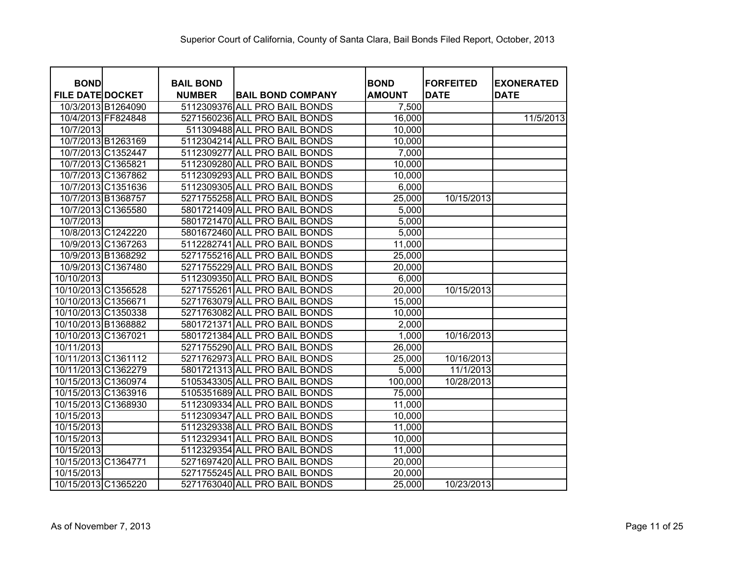| <b>BOND</b>             |                    | <b>BAIL BOND</b> |                               | <b>BOND</b>   | <b>FORFEITED</b> | <b>EXONERATED</b> |
|-------------------------|--------------------|------------------|-------------------------------|---------------|------------------|-------------------|
| <b>FILE DATE DOCKET</b> |                    | <b>NUMBER</b>    | <b>BAIL BOND COMPANY</b>      | <b>AMOUNT</b> | <b>DATE</b>      | <b>DATE</b>       |
| 10/3/2013 B1264090      |                    |                  | 5112309376 ALL PRO BAIL BONDS | 7,500         |                  |                   |
|                         | 10/4/2013 FF824848 |                  | 5271560236 ALL PRO BAIL BONDS | 16,000        |                  | 11/5/2013         |
| 10/7/2013               |                    |                  | 511309488 ALL PRO BAIL BONDS  | 10,000        |                  |                   |
| 10/7/2013 B1263169      |                    |                  | 5112304214 ALL PRO BAIL BONDS | 10,000        |                  |                   |
| 10/7/2013 C1352447      |                    |                  | 5112309277 ALL PRO BAIL BONDS | 7,000         |                  |                   |
| 10/7/2013 C1365821      |                    |                  | 5112309280 ALL PRO BAIL BONDS | 10,000        |                  |                   |
|                         | 10/7/2013 C1367862 |                  | 5112309293 ALL PRO BAIL BONDS | 10,000        |                  |                   |
|                         | 10/7/2013 C1351636 |                  | 5112309305 ALL PRO BAIL BONDS | 6,000         |                  |                   |
| 10/7/2013 B1368757      |                    |                  | 5271755258 ALL PRO BAIL BONDS | 25,000        | 10/15/2013       |                   |
|                         | 10/7/2013 C1365580 |                  | 5801721409 ALL PRO BAIL BONDS | 5,000         |                  |                   |
| 10/7/2013               |                    |                  | 5801721470 ALL PRO BAIL BONDS | 5,000         |                  |                   |
|                         | 10/8/2013 C1242220 |                  | 5801672460 ALL PRO BAIL BONDS | 5,000         |                  |                   |
|                         | 10/9/2013 C1367263 |                  | 5112282741 ALL PRO BAIL BONDS | 11,000        |                  |                   |
|                         | 10/9/2013 B1368292 |                  | 5271755216 ALL PRO BAIL BONDS | 25,000        |                  |                   |
|                         | 10/9/2013 C1367480 |                  | 5271755229 ALL PRO BAIL BONDS | 20,000        |                  |                   |
| 10/10/2013              |                    |                  | 5112309350 ALL PRO BAIL BONDS | 6,000         |                  |                   |
| 10/10/2013 C1356528     |                    |                  | 5271755261 ALL PRO BAIL BONDS | 20,000        | 10/15/2013       |                   |
| 10/10/2013 C1356671     |                    |                  | 5271763079 ALL PRO BAIL BONDS | 15,000        |                  |                   |
| 10/10/2013 C1350338     |                    |                  | 5271763082 ALL PRO BAIL BONDS | 10,000        |                  |                   |
| 10/10/2013 B1368882     |                    |                  | 5801721371 ALL PRO BAIL BONDS | 2,000         |                  |                   |
| 10/10/2013 C1367021     |                    |                  | 5801721384 ALL PRO BAIL BONDS | 1,000         | 10/16/2013       |                   |
| 10/11/2013              |                    |                  | 5271755290 ALL PRO BAIL BONDS | 26,000        |                  |                   |
| 10/11/2013 C1361112     |                    |                  | 5271762973 ALL PRO BAIL BONDS | 25,000        | 10/16/2013       |                   |
| 10/11/2013 C1362279     |                    |                  | 5801721313 ALL PRO BAIL BONDS | 5,000         | 11/1/2013        |                   |
| 10/15/2013 C1360974     |                    |                  | 5105343305 ALL PRO BAIL BONDS | 100,000       | 10/28/2013       |                   |
| 10/15/2013 C1363916     |                    |                  | 5105351689 ALL PRO BAIL BONDS | 75,000        |                  |                   |
| 10/15/2013 C1368930     |                    |                  | 5112309334 ALL PRO BAIL BONDS | 11,000        |                  |                   |
| 10/15/2013              |                    |                  | 5112309347 ALL PRO BAIL BONDS | 10,000        |                  |                   |
| 10/15/2013              |                    |                  | 5112329338 ALL PRO BAIL BONDS | 11,000        |                  |                   |
| 10/15/2013              |                    |                  | 5112329341 ALL PRO BAIL BONDS | 10,000        |                  |                   |
| 10/15/2013              |                    |                  | 5112329354 ALL PRO BAIL BONDS | 11,000        |                  |                   |
| 10/15/2013 C1364771     |                    |                  | 5271697420 ALL PRO BAIL BONDS | 20,000        |                  |                   |
| 10/15/2013              |                    |                  | 5271755245 ALL PRO BAIL BONDS | 20,000        |                  |                   |
| 10/15/2013 C1365220     |                    |                  | 5271763040 ALL PRO BAIL BONDS | 25,000        | 10/23/2013       |                   |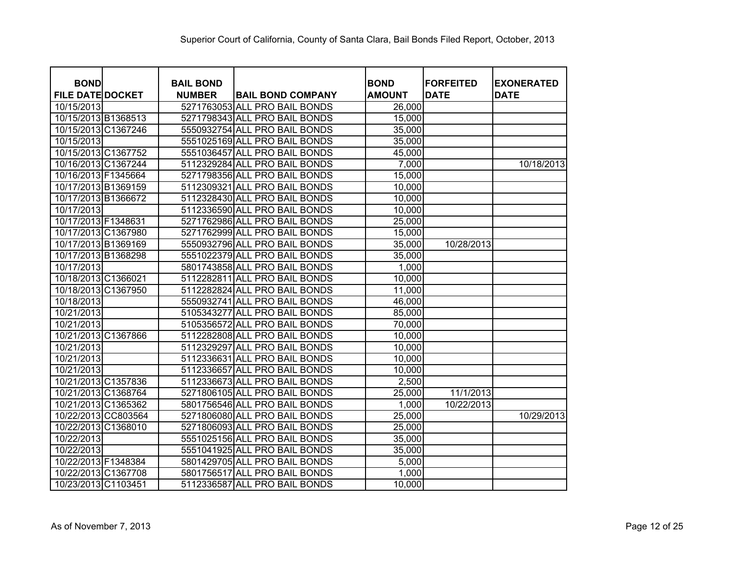| <b>BOND</b>             | <b>BAIL BOND</b> |                               | <b>BOND</b>   | <b>FORFEITED</b> | <b>EXONERATED</b> |
|-------------------------|------------------|-------------------------------|---------------|------------------|-------------------|
| <b>FILE DATE DOCKET</b> | <b>NUMBER</b>    | <b>BAIL BOND COMPANY</b>      | <b>AMOUNT</b> | <b>DATE</b>      | <b>DATE</b>       |
| 10/15/2013              |                  | 5271763053 ALL PRO BAIL BONDS | 26,000        |                  |                   |
| 10/15/2013 B1368513     |                  | 5271798343 ALL PRO BAIL BONDS | 15,000        |                  |                   |
| 10/15/2013 C1367246     |                  | 5550932754 ALL PRO BAIL BONDS | 35,000        |                  |                   |
| 10/15/2013              |                  | 5551025169 ALL PRO BAIL BONDS | 35,000        |                  |                   |
| 10/15/2013 C1367752     |                  | 5551036457 ALL PRO BAIL BONDS | 45,000        |                  |                   |
| 10/16/2013 C1367244     |                  | 5112329284 ALL PRO BAIL BONDS | 7,000         |                  | 10/18/2013        |
| 10/16/2013 F1345664     |                  | 5271798356 ALL PRO BAIL BONDS | 15,000        |                  |                   |
| 10/17/2013 B1369159     |                  | 5112309321 ALL PRO BAIL BONDS | 10,000        |                  |                   |
| 10/17/2013 B1366672     |                  | 5112328430 ALL PRO BAIL BONDS | 10,000        |                  |                   |
| 10/17/2013              |                  | 5112336590 ALL PRO BAIL BONDS | 10,000        |                  |                   |
| 10/17/2013 F1348631     |                  | 5271762986 ALL PRO BAIL BONDS | 25,000        |                  |                   |
| 10/17/2013 C1367980     |                  | 5271762999 ALL PRO BAIL BONDS | 15,000        |                  |                   |
| 10/17/2013 B1369169     |                  | 5550932796 ALL PRO BAIL BONDS | 35,000        | 10/28/2013       |                   |
| 10/17/2013 B1368298     |                  | 5551022379 ALL PRO BAIL BONDS | 35,000        |                  |                   |
| 10/17/2013              |                  | 5801743858 ALL PRO BAIL BONDS | 1,000         |                  |                   |
| 10/18/2013 C1366021     |                  | 5112282811 ALL PRO BAIL BONDS | 10,000        |                  |                   |
| 10/18/2013 C1367950     |                  | 5112282824 ALL PRO BAIL BONDS | 11,000        |                  |                   |
| 10/18/2013              |                  | 5550932741 ALL PRO BAIL BONDS | 46,000        |                  |                   |
| 10/21/2013              |                  | 5105343277 ALL PRO BAIL BONDS | 85,000        |                  |                   |
| 10/21/2013              |                  | 5105356572 ALL PRO BAIL BONDS | 70,000        |                  |                   |
| 10/21/2013 C1367866     |                  | 5112282808 ALL PRO BAIL BONDS | 10,000        |                  |                   |
| 10/21/2013              |                  | 5112329297 ALL PRO BAIL BONDS | 10,000        |                  |                   |
| 10/21/2013              |                  | 5112336631 ALL PRO BAIL BONDS | 10,000        |                  |                   |
| 10/21/2013              |                  | 5112336657 ALL PRO BAIL BONDS | 10,000        |                  |                   |
| 10/21/2013 C1357836     |                  | 5112336673 ALL PRO BAIL BONDS | 2,500         |                  |                   |
| 10/21/2013 C1368764     |                  | 5271806105 ALL PRO BAIL BONDS | 25,000        | 11/1/2013        |                   |
| 10/21/2013 C1365362     |                  | 5801756546 ALL PRO BAIL BONDS | 1,000         | 10/22/2013       |                   |
| 10/22/2013 CC803564     |                  | 5271806080 ALL PRO BAIL BONDS | 25,000        |                  | 10/29/2013        |
| 10/22/2013 C1368010     |                  | 5271806093 ALL PRO BAIL BONDS | 25,000        |                  |                   |
| 10/22/2013              |                  | 5551025156 ALL PRO BAIL BONDS | 35,000        |                  |                   |
| 10/22/2013              |                  | 5551041925 ALL PRO BAIL BONDS | 35,000        |                  |                   |
| 10/22/2013 F1348384     |                  | 5801429705 ALL PRO BAIL BONDS | 5,000         |                  |                   |
| 10/22/2013 C1367708     |                  | 5801756517 ALL PRO BAIL BONDS | 1,000         |                  |                   |
| 10/23/2013 C1103451     |                  | 5112336587 ALL PRO BAIL BONDS | 10,000        |                  |                   |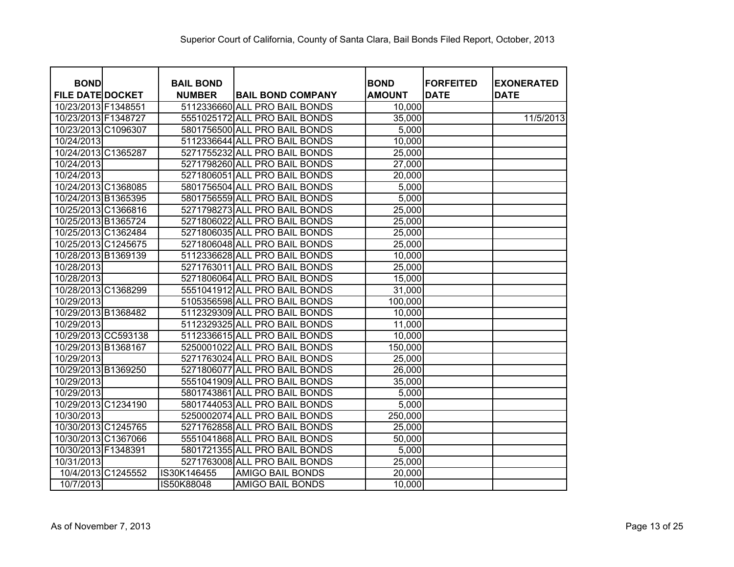| <b>BOND</b>             | <b>BAIL BOND</b> |                               | <b>BOND</b>   | <b>FORFEITED</b> | <b>EXONERATED</b> |
|-------------------------|------------------|-------------------------------|---------------|------------------|-------------------|
| <b>FILE DATE DOCKET</b> | <b>NUMBER</b>    | <b>BAIL BOND COMPANY</b>      | <b>AMOUNT</b> | <b>DATE</b>      | <b>DATE</b>       |
| 10/23/2013 F1348551     |                  | 5112336660 ALL PRO BAIL BONDS | 10,000        |                  |                   |
| 10/23/2013 F1348727     |                  | 5551025172 ALL PRO BAIL BONDS | 35,000        |                  | 11/5/2013         |
| 10/23/2013 C1096307     |                  | 5801756500 ALL PRO BAIL BONDS | 5,000         |                  |                   |
| 10/24/2013              |                  | 5112336644 ALL PRO BAIL BONDS | 10,000        |                  |                   |
| 10/24/2013 C1365287     |                  | 5271755232 ALL PRO BAIL BONDS | 25,000        |                  |                   |
| 10/24/2013              |                  | 5271798260 ALL PRO BAIL BONDS | 27,000        |                  |                   |
| 10/24/2013              |                  | 5271806051 ALL PRO BAIL BONDS | 20,000        |                  |                   |
| 10/24/2013 C1368085     |                  | 5801756504 ALL PRO BAIL BONDS | 5,000         |                  |                   |
| 10/24/2013 B1365395     |                  | 5801756559 ALL PRO BAIL BONDS | 5,000         |                  |                   |
| 10/25/2013 C1366816     |                  | 5271798273 ALL PRO BAIL BONDS | 25,000        |                  |                   |
| 10/25/2013 B1365724     |                  | 5271806022 ALL PRO BAIL BONDS | 25,000        |                  |                   |
| 10/25/2013 C1362484     |                  | 5271806035 ALL PRO BAIL BONDS | 25,000        |                  |                   |
| 10/25/2013 C1245675     |                  | 5271806048 ALL PRO BAIL BONDS | 25,000        |                  |                   |
| 10/28/2013 B1369139     |                  | 5112336628 ALL PRO BAIL BONDS | 10,000        |                  |                   |
| 10/28/2013              |                  | 5271763011 ALL PRO BAIL BONDS | 25,000        |                  |                   |
| 10/28/2013              |                  | 5271806064 ALL PRO BAIL BONDS | 15,000        |                  |                   |
| 10/28/2013 C1368299     |                  | 5551041912 ALL PRO BAIL BONDS | 31,000        |                  |                   |
| 10/29/2013              |                  | 5105356598 ALL PRO BAIL BONDS | 100,000       |                  |                   |
| 10/29/2013 B1368482     |                  | 5112329309 ALL PRO BAIL BONDS | 10,000        |                  |                   |
| 10/29/2013              |                  | 5112329325 ALL PRO BAIL BONDS | 11,000        |                  |                   |
| 10/29/2013 CC593138     |                  | 5112336615 ALL PRO BAIL BONDS | 10,000        |                  |                   |
| 10/29/2013 B1368167     |                  | 5250001022 ALL PRO BAIL BONDS | 150,000       |                  |                   |
| 10/29/2013              |                  | 5271763024 ALL PRO BAIL BONDS | 25,000        |                  |                   |
| 10/29/2013 B1369250     |                  | 5271806077 ALL PRO BAIL BONDS | 26,000        |                  |                   |
| 10/29/2013              |                  | 5551041909 ALL PRO BAIL BONDS | 35,000        |                  |                   |
| 10/29/2013              |                  | 5801743861 ALL PRO BAIL BONDS | 5,000         |                  |                   |
| 10/29/2013 C1234190     |                  | 5801744053 ALL PRO BAIL BONDS | 5,000         |                  |                   |
| 10/30/2013              |                  | 5250002074 ALL PRO BAIL BONDS | 250,000       |                  |                   |
| 10/30/2013 C1245765     |                  | 5271762858 ALL PRO BAIL BONDS | 25,000        |                  |                   |
| 10/30/2013 C1367066     |                  | 5551041868 ALL PRO BAIL BONDS | 50,000        |                  |                   |
| 10/30/2013 F1348391     |                  | 5801721355 ALL PRO BAIL BONDS | 5,000         |                  |                   |
| 10/31/2013              |                  | 5271763008 ALL PRO BAIL BONDS | 25,000        |                  |                   |
| 10/4/2013 C1245552      | IS30K146455      | <b>AMIGO BAIL BONDS</b>       | 20,000        |                  |                   |
| 10/7/2013               | IS50K88048       | <b>AMIGO BAIL BONDS</b>       | 10,000        |                  |                   |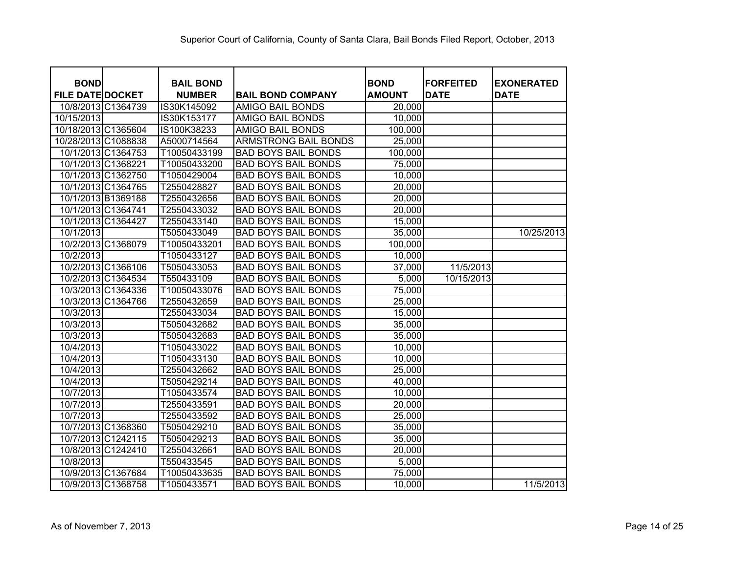| <b>BOND</b>             | <b>BAIL BOND</b> |                             | <b>BOND</b>   | <b>FORFEITED</b>        | <b>EXONERATED</b> |
|-------------------------|------------------|-----------------------------|---------------|-------------------------|-------------------|
| <b>FILE DATE DOCKET</b> | <b>NUMBER</b>    | <b>BAIL BOND COMPANY</b>    | <b>AMOUNT</b> | <b>DATE</b>             | <b>DATE</b>       |
| 10/8/2013 C1364739      | IS30K145092      | <b>AMIGO BAIL BONDS</b>     | 20,000        |                         |                   |
| 10/15/2013              | IS30K153177      | <b>AMIGO BAIL BONDS</b>     | 10,000        |                         |                   |
| 10/18/2013 C1365604     | IS100K38233      | <b>AMIGO BAIL BONDS</b>     | 100,000       |                         |                   |
| 10/28/2013 C1088838     | A5000714564      | <b>ARMSTRONG BAIL BONDS</b> | 25,000        |                         |                   |
| 10/1/2013 C1364753      | T10050433199     | <b>BAD BOYS BAIL BONDS</b>  | 100,000       |                         |                   |
| 10/1/2013 C1368221      | T10050433200     | <b>BAD BOYS BAIL BONDS</b>  | 75,000        |                         |                   |
| 10/1/2013 C1362750      | T1050429004      | <b>BAD BOYS BAIL BONDS</b>  | 10,000        |                         |                   |
| 10/1/2013 C1364765      | T2550428827      | <b>BAD BOYS BAIL BONDS</b>  | 20,000        |                         |                   |
| 10/1/2013 B1369188      | T2550432656      | <b>BAD BOYS BAIL BONDS</b>  | 20,000        |                         |                   |
| 10/1/2013 C1364741      | T2550433032      | <b>BAD BOYS BAIL BONDS</b>  | 20,000        |                         |                   |
| 10/1/2013 C1364427      | T2550433140      | <b>BAD BOYS BAIL BONDS</b>  | 15,000        |                         |                   |
| 10/1/2013               | T5050433049      | <b>BAD BOYS BAIL BONDS</b>  | 35,000        |                         | 10/25/2013        |
| 10/2/2013 C1368079      | T10050433201     | <b>BAD BOYS BAIL BONDS</b>  | 100,000       |                         |                   |
| 10/2/2013               | T1050433127      | <b>BAD BOYS BAIL BONDS</b>  | 10,000        |                         |                   |
| 10/2/2013 C1366106      | T5050433053      | <b>BAD BOYS BAIL BONDS</b>  | 37,000        | 11/5/2013               |                   |
| 10/2/2013 C1364534      | T550433109       | <b>BAD BOYS BAIL BONDS</b>  | 5,000         | $\overline{10/15/2013}$ |                   |
| 10/3/2013 C1364336      | T10050433076     | <b>BAD BOYS BAIL BONDS</b>  | 75,000        |                         |                   |
| 10/3/2013 C1364766      | T2550432659      | <b>BAD BOYS BAIL BONDS</b>  | 25,000        |                         |                   |
| 10/3/2013               | T2550433034      | <b>BAD BOYS BAIL BONDS</b>  | 15,000        |                         |                   |
| 10/3/2013               | T5050432682      | <b>BAD BOYS BAIL BONDS</b>  | 35,000        |                         |                   |
| 10/3/2013               | T5050432683      | <b>BAD BOYS BAIL BONDS</b>  | 35,000        |                         |                   |
| 10/4/2013               | T1050433022      | <b>BAD BOYS BAIL BONDS</b>  | 10,000        |                         |                   |
| 10/4/2013               | T1050433130      | <b>BAD BOYS BAIL BONDS</b>  | 10,000        |                         |                   |
| 10/4/2013               | T2550432662      | <b>BAD BOYS BAIL BONDS</b>  | 25,000        |                         |                   |
| 10/4/2013               | T5050429214      | <b>BAD BOYS BAIL BONDS</b>  | 40,000        |                         |                   |
| 10/7/2013               | T1050433574      | <b>BAD BOYS BAIL BONDS</b>  | 10,000        |                         |                   |
| 10/7/2013               | T2550433591      | <b>BAD BOYS BAIL BONDS</b>  | 20,000        |                         |                   |
| 10/7/2013               | T2550433592      | <b>BAD BOYS BAIL BONDS</b>  | 25,000        |                         |                   |
| 10/7/2013 C1368360      | T5050429210      | <b>BAD BOYS BAIL BONDS</b>  | 35,000        |                         |                   |
| 10/7/2013 C1242115      | T5050429213      | <b>BAD BOYS BAIL BONDS</b>  | 35,000        |                         |                   |
| 10/8/2013 C1242410      | T2550432661      | <b>BAD BOYS BAIL BONDS</b>  | 20,000        |                         |                   |
| 10/8/2013               | T550433545       | <b>BAD BOYS BAIL BONDS</b>  | 5,000         |                         |                   |
| 10/9/2013 C1367684      | T10050433635     | <b>BAD BOYS BAIL BONDS</b>  | 75,000        |                         |                   |
| 10/9/2013 C1368758      | T1050433571      | <b>BAD BOYS BAIL BONDS</b>  | 10,000        |                         | 11/5/2013         |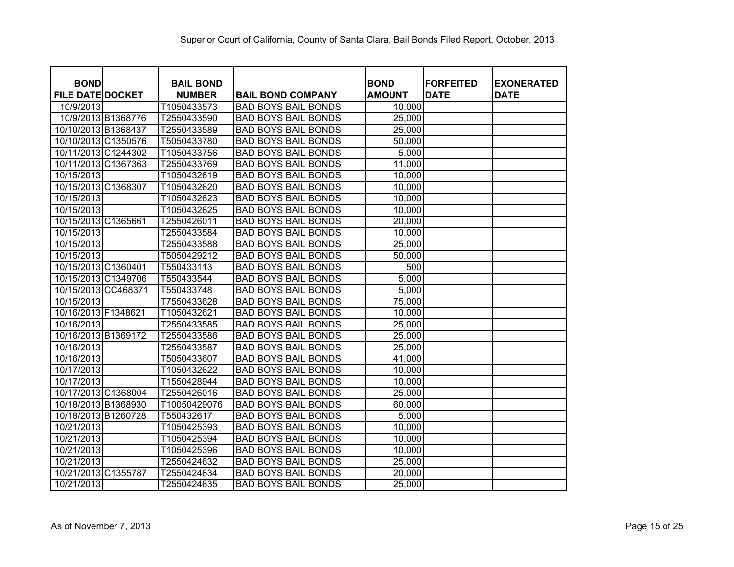| <b>BOND</b>             | <b>BAIL BOND</b> |                            | <b>BOND</b>   | <b>FORFEITED</b> | <b>EXONERATED</b> |
|-------------------------|------------------|----------------------------|---------------|------------------|-------------------|
| <b>FILE DATE DOCKET</b> | <b>NUMBER</b>    | <b>BAIL BOND COMPANY</b>   | <b>AMOUNT</b> | <b>DATE</b>      | <b>DATE</b>       |
| 10/9/2013               | T1050433573      | <b>BAD BOYS BAIL BONDS</b> | 10,000        |                  |                   |
| 10/9/2013 B1368776      | T2550433590      | <b>BAD BOYS BAIL BONDS</b> | 25,000        |                  |                   |
| 10/10/2013 B1368437     | T2550433589      | <b>BAD BOYS BAIL BONDS</b> | 25,000        |                  |                   |
| 10/10/2013 C1350576     | T5050433780      | <b>BAD BOYS BAIL BONDS</b> | 50,000        |                  |                   |
| 10/11/2013 C1244302     | T1050433756      | <b>BAD BOYS BAIL BONDS</b> | 5,000         |                  |                   |
| 10/11/2013 C1367363     | T2550433769      | <b>BAD BOYS BAIL BONDS</b> | 11,000        |                  |                   |
| 10/15/2013              | T1050432619      | <b>BAD BOYS BAIL BONDS</b> | 10,000        |                  |                   |
| 10/15/2013 C1368307     | T1050432620      | <b>BAD BOYS BAIL BONDS</b> | 10,000        |                  |                   |
| 10/15/2013              | T1050432623      | <b>BAD BOYS BAIL BONDS</b> | 10,000        |                  |                   |
| 10/15/2013              | T1050432625      | <b>BAD BOYS BAIL BONDS</b> | 10,000        |                  |                   |
| 10/15/2013 C1365661     | T2550426011      | <b>BAD BOYS BAIL BONDS</b> | 20,000        |                  |                   |
| 10/15/2013              | T2550433584      | <b>BAD BOYS BAIL BONDS</b> | 10,000        |                  |                   |
| 10/15/2013              | T2550433588      | <b>BAD BOYS BAIL BONDS</b> | 25,000        |                  |                   |
| 10/15/2013              | T5050429212      | <b>BAD BOYS BAIL BONDS</b> | 50,000        |                  |                   |
| 10/15/2013 C1360401     | T550433113       | <b>BAD BOYS BAIL BONDS</b> | 500           |                  |                   |
| 10/15/2013 C1349706     | T550433544       | <b>BAD BOYS BAIL BONDS</b> | 5,000         |                  |                   |
| 10/15/2013 CC468371     | T550433748       | <b>BAD BOYS BAIL BONDS</b> | 5,000         |                  |                   |
| 10/15/2013              | T7550433628      | <b>BAD BOYS BAIL BONDS</b> | 75,000        |                  |                   |
| 10/16/2013 F1348621     | T1050432621      | <b>BAD BOYS BAIL BONDS</b> | 10,000        |                  |                   |
| 10/16/2013              | T2550433585      | <b>BAD BOYS BAIL BONDS</b> | 25,000        |                  |                   |
| 10/16/2013 B1369172     | T2550433586      | <b>BAD BOYS BAIL BONDS</b> | 25,000        |                  |                   |
| 10/16/2013              | T2550433587      | <b>BAD BOYS BAIL BONDS</b> | 25,000        |                  |                   |
| 10/16/2013              | T5050433607      | <b>BAD BOYS BAIL BONDS</b> | 41,000        |                  |                   |
| 10/17/2013              | T1050432622      | <b>BAD BOYS BAIL BONDS</b> | 10,000        |                  |                   |
| 10/17/2013              | T1550428944      | <b>BAD BOYS BAIL BONDS</b> | 10,000        |                  |                   |
| 10/17/2013 C1368004     | T2550426016      | <b>BAD BOYS BAIL BONDS</b> | 25,000        |                  |                   |
| 10/18/2013 B1368930     | T10050429076     | <b>BAD BOYS BAIL BONDS</b> | 60,000        |                  |                   |
| 10/18/2013 B1260728     | T550432617       | <b>BAD BOYS BAIL BONDS</b> | 5,000         |                  |                   |
| 10/21/2013              | T1050425393      | <b>BAD BOYS BAIL BONDS</b> | 10,000        |                  |                   |
| 10/21/2013              | T1050425394      | <b>BAD BOYS BAIL BONDS</b> | 10,000        |                  |                   |
| 10/21/2013              | T1050425396      | <b>BAD BOYS BAIL BONDS</b> | 10,000        |                  |                   |
| 10/21/2013              | T2550424632      | <b>BAD BOYS BAIL BONDS</b> | 25,000        |                  |                   |
| 10/21/2013 C1355787     | T2550424634      | <b>BAD BOYS BAIL BONDS</b> | 20,000        |                  |                   |
| 10/21/2013              | T2550424635      | <b>BAD BOYS BAIL BONDS</b> | 25,000        |                  |                   |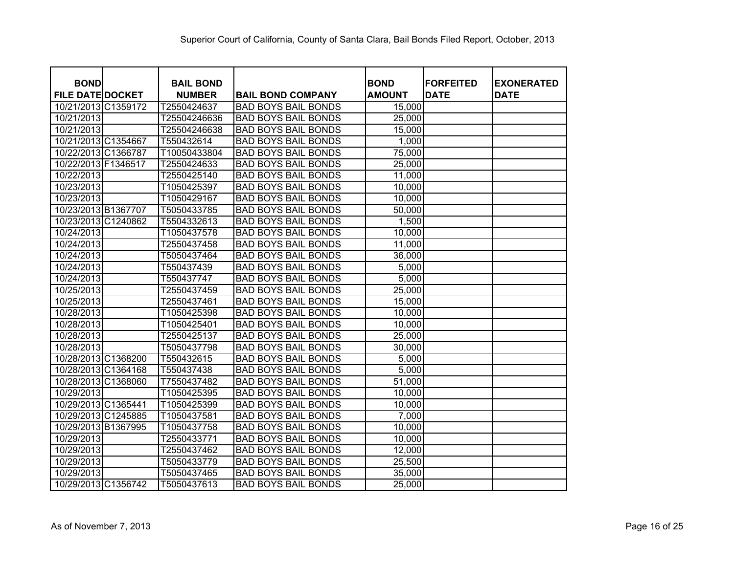| <b>BOND</b>             | <b>BAIL BOND</b> |                            | <b>BOND</b>   | <b>FORFEITED</b> | <b>EXONERATED</b> |
|-------------------------|------------------|----------------------------|---------------|------------------|-------------------|
| <b>FILE DATE DOCKET</b> | <b>NUMBER</b>    | <b>BAIL BOND COMPANY</b>   | <b>AMOUNT</b> | <b>DATE</b>      | <b>DATE</b>       |
| 10/21/2013 C1359172     | T2550424637      | <b>BAD BOYS BAIL BONDS</b> | 15,000        |                  |                   |
| 10/21/2013              | T25504246636     | <b>BAD BOYS BAIL BONDS</b> | 25,000        |                  |                   |
| 10/21/2013              | T25504246638     | <b>BAD BOYS BAIL BONDS</b> | 15,000        |                  |                   |
| 10/21/2013 C1354667     | T550432614       | <b>BAD BOYS BAIL BONDS</b> | 1,000         |                  |                   |
| 10/22/2013 C1366787     | T10050433804     | <b>BAD BOYS BAIL BONDS</b> | 75,000        |                  |                   |
| 10/22/2013 F1346517     | T2550424633      | <b>BAD BOYS BAIL BONDS</b> | 25,000        |                  |                   |
| 10/22/2013              | T2550425140      | <b>BAD BOYS BAIL BONDS</b> | 11,000        |                  |                   |
| 10/23/2013              | T1050425397      | <b>BAD BOYS BAIL BONDS</b> | 10,000        |                  |                   |
| 10/23/2013              | T1050429167      | <b>BAD BOYS BAIL BONDS</b> | 10,000        |                  |                   |
| 10/23/2013 B1367707     | T5050433785      | <b>BAD BOYS BAIL BONDS</b> | 50,000        |                  |                   |
| 10/23/2013 C1240862     | T5504332613      | <b>BAD BOYS BAIL BONDS</b> | 1,500         |                  |                   |
| 10/24/2013              | T1050437578      | <b>BAD BOYS BAIL BONDS</b> | 10,000        |                  |                   |
| 10/24/2013              | T2550437458      | <b>BAD BOYS BAIL BONDS</b> | 11,000        |                  |                   |
| 10/24/2013              | T5050437464      | <b>BAD BOYS BAIL BONDS</b> | 36,000        |                  |                   |
| 10/24/2013              | T550437439       | <b>BAD BOYS BAIL BONDS</b> | 5,000         |                  |                   |
| 10/24/2013              | T550437747       | <b>BAD BOYS BAIL BONDS</b> | 5,000         |                  |                   |
| 10/25/2013              | T2550437459      | <b>BAD BOYS BAIL BONDS</b> | 25,000        |                  |                   |
| 10/25/2013              | T2550437461      | <b>BAD BOYS BAIL BONDS</b> | 15,000        |                  |                   |
| 10/28/2013              | T1050425398      | <b>BAD BOYS BAIL BONDS</b> | 10,000        |                  |                   |
| 10/28/2013              | T1050425401      | <b>BAD BOYS BAIL BONDS</b> | 10,000        |                  |                   |
| 10/28/2013              | T2550425137      | <b>BAD BOYS BAIL BONDS</b> | 25,000        |                  |                   |
| 10/28/2013              | T5050437798      | <b>BAD BOYS BAIL BONDS</b> | 30,000        |                  |                   |
| 10/28/2013 C1368200     | T550432615       | <b>BAD BOYS BAIL BONDS</b> | 5,000         |                  |                   |
| 10/28/2013 C1364168     | T550437438       | <b>BAD BOYS BAIL BONDS</b> | 5,000         |                  |                   |
| 10/28/2013 C1368060     | T7550437482      | <b>BAD BOYS BAIL BONDS</b> | 51,000        |                  |                   |
| 10/29/2013              | T1050425395      | <b>BAD BOYS BAIL BONDS</b> | 10,000        |                  |                   |
| 10/29/2013 C1365441     | T1050425399      | <b>BAD BOYS BAIL BONDS</b> | 10,000        |                  |                   |
| 10/29/2013 C1245885     | T1050437581      | <b>BAD BOYS BAIL BONDS</b> | 7,000         |                  |                   |
| 10/29/2013 B1367995     | T1050437758      | <b>BAD BOYS BAIL BONDS</b> | 10,000        |                  |                   |
| 10/29/2013              | T2550433771      | <b>BAD BOYS BAIL BONDS</b> | 10,000        |                  |                   |
| 10/29/2013              | T2550437462      | <b>BAD BOYS BAIL BONDS</b> | 12,000        |                  |                   |
| 10/29/2013              | T5050433779      | <b>BAD BOYS BAIL BONDS</b> | 25,500        |                  |                   |
| 10/29/2013              | T5050437465      | <b>BAD BOYS BAIL BONDS</b> | 35,000        |                  |                   |
| 10/29/2013 C1356742     | T5050437613      | <b>BAD BOYS BAIL BONDS</b> | 25,000        |                  |                   |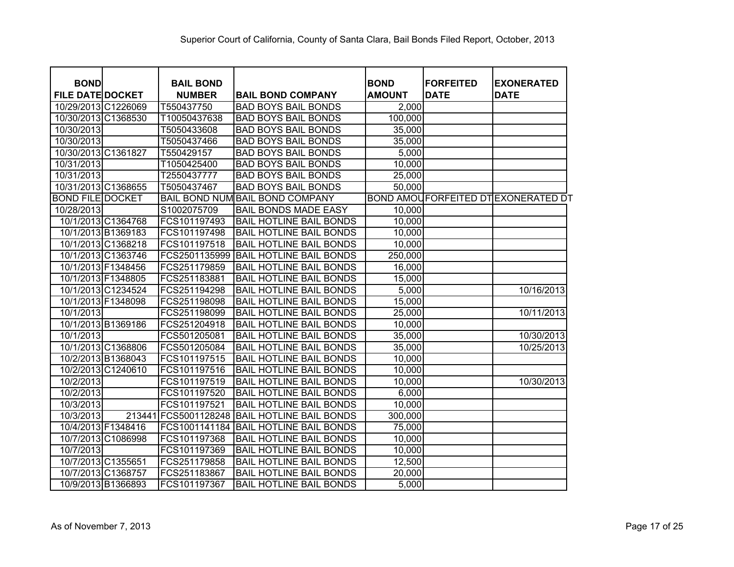| <b>BOND</b><br><b>FILE DATE DOCKET</b> |        | <b>BAIL BOND</b><br><b>NUMBER</b> | <b>BAIL BOND COMPANY</b>        | <b>BOND</b><br><b>AMOUNT</b> | <b>FORFEITED</b><br><b>DATE</b> | <b>EXONERATED</b><br><b>DATE</b>   |
|----------------------------------------|--------|-----------------------------------|---------------------------------|------------------------------|---------------------------------|------------------------------------|
| 10/29/2013 C1226069                    |        | T550437750                        | <b>BAD BOYS BAIL BONDS</b>      | 2,000                        |                                 |                                    |
| 10/30/2013 C1368530                    |        | T10050437638                      | <b>BAD BOYS BAIL BONDS</b>      | 100,000                      |                                 |                                    |
| 10/30/2013                             |        | T5050433608                       | <b>BAD BOYS BAIL BONDS</b>      | 35,000                       |                                 |                                    |
| 10/30/2013                             |        | T5050437466                       | <b>BAD BOYS BAIL BONDS</b>      | 35,000                       |                                 |                                    |
| 10/30/2013 C1361827                    |        | T550429157                        | <b>BAD BOYS BAIL BONDS</b>      | 5,000                        |                                 |                                    |
| 10/31/2013                             |        | T1050425400                       | <b>BAD BOYS BAIL BONDS</b>      | 10,000                       |                                 |                                    |
| 10/31/2013                             |        | T2550437777                       | <b>BAD BOYS BAIL BONDS</b>      | 25,000                       |                                 |                                    |
| 10/31/2013 C1368655                    |        | T5050437467                       | <b>BAD BOYS BAIL BONDS</b>      | 50,000                       |                                 |                                    |
| <b>BOND FILE DOCKET</b>                |        |                                   | BAIL BOND NUM BAIL BOND COMPANY |                              |                                 | BOND AMOUFORFEITED DTEXONERATED DT |
| 10/28/2013                             |        | S1002075709                       | <b>BAIL BONDS MADE EASY</b>     | 10,000                       |                                 |                                    |
| 10/1/2013 C1364768                     |        | FCS101197493                      | <b>BAIL HOTLINE BAIL BONDS</b>  | 10,000                       |                                 |                                    |
| 10/1/2013 B1369183                     |        | FCS101197498                      | <b>BAIL HOTLINE BAIL BONDS</b>  | 10,000                       |                                 |                                    |
| 10/1/2013 C1368218                     |        | FCS101197518                      | <b>BAIL HOTLINE BAIL BONDS</b>  | 10,000                       |                                 |                                    |
| 10/1/2013 C1363746                     |        | FCS2501135999                     | <b>BAIL HOTLINE BAIL BONDS</b>  | 250,000                      |                                 |                                    |
| 10/1/2013 F1348456                     |        | FCS251179859                      | <b>BAIL HOTLINE BAIL BONDS</b>  | 16,000                       |                                 |                                    |
| 10/1/2013 F1348805                     |        | FCS251183881                      | <b>BAIL HOTLINE BAIL BONDS</b>  | 15,000                       |                                 |                                    |
| 10/1/2013 C1234524                     |        | FCS251194298                      | <b>BAIL HOTLINE BAIL BONDS</b>  | 5,000                        |                                 | 10/16/2013                         |
| 10/1/2013 F1348098                     |        | FCS251198098                      | <b>BAIL HOTLINE BAIL BONDS</b>  | 15,000                       |                                 |                                    |
| 10/1/2013                              |        | FCS251198099                      | <b>BAIL HOTLINE BAIL BONDS</b>  | 25,000                       |                                 | 10/11/2013                         |
| 10/1/2013 B1369186                     |        | FCS251204918                      | <b>BAIL HOTLINE BAIL BONDS</b>  | 10,000                       |                                 |                                    |
| 10/1/2013                              |        | FCS501205081                      | <b>BAIL HOTLINE BAIL BONDS</b>  | 35,000                       |                                 | 10/30/2013                         |
| 10/1/2013 C1368806                     |        | FCS501205084                      | <b>BAIL HOTLINE BAIL BONDS</b>  | 35,000                       |                                 | 10/25/2013                         |
| 10/2/2013 B1368043                     |        | FCS101197515                      | <b>BAIL HOTLINE BAIL BONDS</b>  | 10,000                       |                                 |                                    |
| 10/2/2013 C1240610                     |        | FCS101197516                      | <b>BAIL HOTLINE BAIL BONDS</b>  | 10,000                       |                                 |                                    |
| 10/2/2013                              |        | FCS101197519                      | <b>BAIL HOTLINE BAIL BONDS</b>  | 10,000                       |                                 | 10/30/2013                         |
| 10/2/2013                              |        | FCS101197520                      | <b>BAIL HOTLINE BAIL BONDS</b>  | 6,000                        |                                 |                                    |
| 10/3/2013                              |        | FCS101197521                      | <b>BAIL HOTLINE BAIL BONDS</b>  | 10,000                       |                                 |                                    |
| 10/3/2013                              | 213441 | FCS5001128248                     | <b>BAIL HOTLINE BAIL BONDS</b>  | 300,000                      |                                 |                                    |
| 10/4/2013 F1348416                     |        | FCS1001141184                     | <b>BAIL HOTLINE BAIL BONDS</b>  | 75,000                       |                                 |                                    |
| 10/7/2013 C1086998                     |        | FCS101197368                      | <b>BAIL HOTLINE BAIL BONDS</b>  | 10,000                       |                                 |                                    |
| 10/7/2013                              |        | FCS101197369                      | <b>BAIL HOTLINE BAIL BONDS</b>  | 10,000                       |                                 |                                    |
| 10/7/2013 C1355651                     |        | FCS251179858                      | <b>BAIL HOTLINE BAIL BONDS</b>  | 12,500                       |                                 |                                    |
| 10/7/2013 C1368757                     |        | FCS251183867                      | <b>BAIL HOTLINE BAIL BONDS</b>  | 20,000                       |                                 |                                    |
| 10/9/2013 B1366893                     |        | FCS101197367                      | <b>BAIL HOTLINE BAIL BONDS</b>  | 5,000                        |                                 |                                    |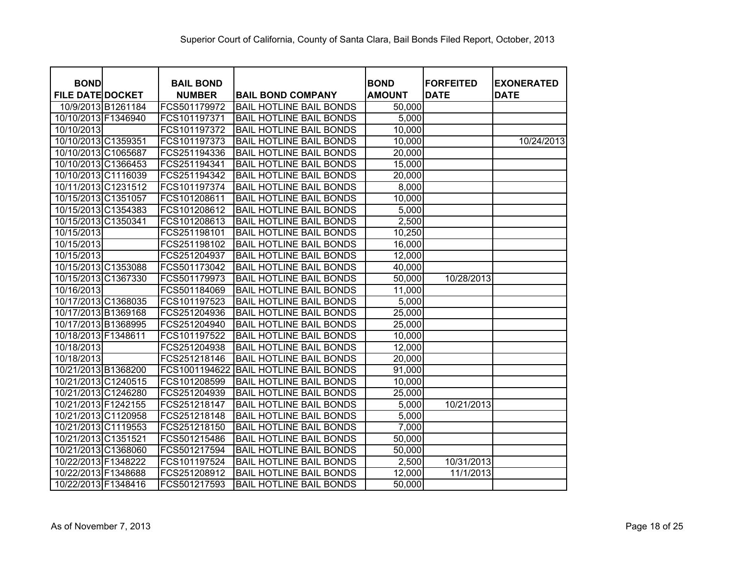| <b>BOND</b>             | <b>BAIL BOND</b> |                                |                              | <b>FORFEITED</b> |                                  |
|-------------------------|------------------|--------------------------------|------------------------------|------------------|----------------------------------|
| <b>FILE DATE DOCKET</b> | <b>NUMBER</b>    | <b>BAIL BOND COMPANY</b>       | <b>BOND</b><br><b>AMOUNT</b> | <b>DATE</b>      | <b>EXONERATED</b><br><b>DATE</b> |
| 10/9/2013 B1261184      | FCS501179972     | <b>BAIL HOTLINE BAIL BONDS</b> | 50,000                       |                  |                                  |
| 10/10/2013 F1346940     | FCS101197371     | <b>BAIL HOTLINE BAIL BONDS</b> | 5,000                        |                  |                                  |
| 10/10/2013              | FCS101197372     | <b>BAIL HOTLINE BAIL BONDS</b> | 10,000                       |                  |                                  |
| 10/10/2013 C1359351     | FCS101197373     | <b>BAIL HOTLINE BAIL BONDS</b> | 10,000                       |                  | 10/24/2013                       |
| 10/10/2013 C1065687     | FCS251194336     | <b>BAIL HOTLINE BAIL BONDS</b> | 20,000                       |                  |                                  |
| 10/10/2013 C1366453     | FCS251194341     | <b>BAIL HOTLINE BAIL BONDS</b> | 15,000                       |                  |                                  |
| 10/10/2013 C1116039     | FCS251194342     | <b>BAIL HOTLINE BAIL BONDS</b> | 20,000                       |                  |                                  |
| 10/11/2013 C1231512     | FCS101197374     | <b>BAIL HOTLINE BAIL BONDS</b> | 8,000                        |                  |                                  |
| 10/15/2013 C1351057     | FCS101208611     | <b>BAIL HOTLINE BAIL BONDS</b> | 10,000                       |                  |                                  |
| 10/15/2013 C1354383     | FCS101208612     | <b>BAIL HOTLINE BAIL BONDS</b> | 5,000                        |                  |                                  |
| 10/15/2013 C1350341     | FCS101208613     | <b>BAIL HOTLINE BAIL BONDS</b> | 2,500                        |                  |                                  |
| 10/15/2013              | FCS251198101     | <b>BAIL HOTLINE BAIL BONDS</b> | 10,250                       |                  |                                  |
| 10/15/2013              | FCS251198102     | <b>BAIL HOTLINE BAIL BONDS</b> | 16,000                       |                  |                                  |
| 10/15/2013              | FCS251204937     | <b>BAIL HOTLINE BAIL BONDS</b> | 12,000                       |                  |                                  |
| 10/15/2013 C1353088     | FCS501173042     | <b>BAIL HOTLINE BAIL BONDS</b> | 40,000                       |                  |                                  |
| 10/15/2013 C1367330     | FCS501179973     | <b>BAIL HOTLINE BAIL BONDS</b> | 50,000                       | 10/28/2013       |                                  |
| 10/16/2013              | FCS501184069     | <b>BAIL HOTLINE BAIL BONDS</b> | 11,000                       |                  |                                  |
| 10/17/2013 C1368035     | FCS101197523     | <b>BAIL HOTLINE BAIL BONDS</b> | 5,000                        |                  |                                  |
| 10/17/2013 B1369168     | FCS251204936     | <b>BAIL HOTLINE BAIL BONDS</b> | 25,000                       |                  |                                  |
| 10/17/2013 B1368995     | FCS251204940     | <b>BAIL HOTLINE BAIL BONDS</b> | 25,000                       |                  |                                  |
| 10/18/2013 F1348611     | FCS101197522     | <b>BAIL HOTLINE BAIL BONDS</b> | 10,000                       |                  |                                  |
| 10/18/2013              | FCS251204938     | <b>BAIL HOTLINE BAIL BONDS</b> | 12,000                       |                  |                                  |
| 10/18/2013              | FCS251218146     | <b>BAIL HOTLINE BAIL BONDS</b> | 20,000                       |                  |                                  |
| 10/21/2013 B1368200     | FCS1001194622    | <b>BAIL HOTLINE BAIL BONDS</b> | 91,000                       |                  |                                  |
| 10/21/2013 C1240515     | FCS101208599     | <b>BAIL HOTLINE BAIL BONDS</b> | 10,000                       |                  |                                  |
| 10/21/2013 C1246280     | FCS251204939     | <b>BAIL HOTLINE BAIL BONDS</b> | 25,000                       |                  |                                  |
| 10/21/2013 F1242155     | FCS251218147     | <b>BAIL HOTLINE BAIL BONDS</b> | 5,000                        | 10/21/2013       |                                  |
| 10/21/2013 C1120958     | FCS251218148     | <b>BAIL HOTLINE BAIL BONDS</b> | 5,000                        |                  |                                  |
| 10/21/2013 C1119553     | FCS251218150     | <b>BAIL HOTLINE BAIL BONDS</b> | 7,000                        |                  |                                  |
| 10/21/2013 C1351521     | FCS501215486     | <b>BAIL HOTLINE BAIL BONDS</b> | 50,000                       |                  |                                  |
| 10/21/2013 C1368060     | FCS501217594     | <b>BAIL HOTLINE BAIL BONDS</b> | 50,000                       |                  |                                  |
| 10/22/2013 F1348222     | FCS101197524     | <b>BAIL HOTLINE BAIL BONDS</b> | 2,500                        | 10/31/2013       |                                  |
| 10/22/2013 F1348688     | FCS251208912     | <b>BAIL HOTLINE BAIL BONDS</b> | 12,000                       | 11/1/2013        |                                  |
| 10/22/2013 F1348416     | FCS501217593     | <b>BAIL HOTLINE BAIL BONDS</b> | 50,000                       |                  |                                  |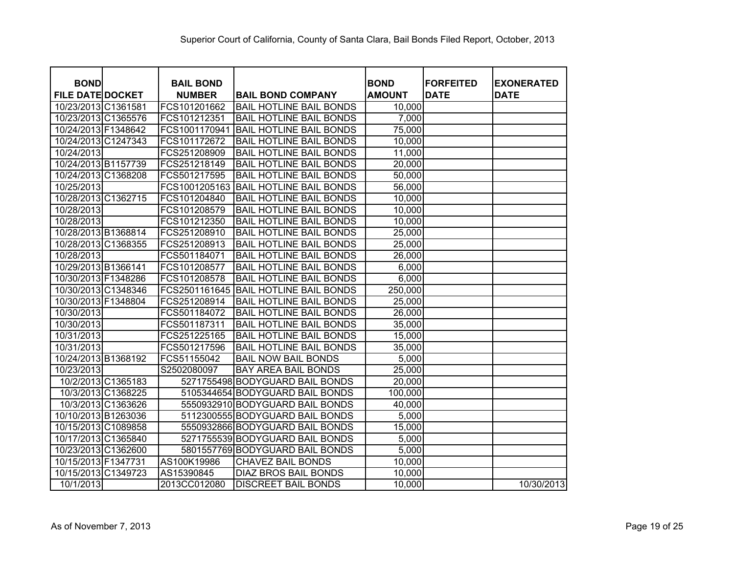| <b>BOND</b>             | <b>BAIL BOND</b> |                                 | <b>BOND</b>   | <b>FORFEITED</b> | <b>EXONERATED</b> |
|-------------------------|------------------|---------------------------------|---------------|------------------|-------------------|
| <b>FILE DATE DOCKET</b> | <b>NUMBER</b>    | <b>BAIL BOND COMPANY</b>        | <b>AMOUNT</b> | <b>DATE</b>      | <b>DATE</b>       |
| 10/23/2013 C1361581     | FCS101201662     | <b>BAIL HOTLINE BAIL BONDS</b>  | 10,000        |                  |                   |
| 10/23/2013 C1365576     | FCS101212351     | <b>BAIL HOTLINE BAIL BONDS</b>  | 7,000         |                  |                   |
| 10/24/2013 F1348642     | FCS1001170941    | <b>BAIL HOTLINE BAIL BONDS</b>  | 75,000        |                  |                   |
| 10/24/2013 C1247343     | FCS101172672     | <b>BAIL HOTLINE BAIL BONDS</b>  | 10,000        |                  |                   |
| 10/24/2013              | FCS251208909     | <b>BAIL HOTLINE BAIL BONDS</b>  | 11,000        |                  |                   |
| 10/24/2013 B1157739     | FCS251218149     | <b>BAIL HOTLINE BAIL BONDS</b>  | 20,000        |                  |                   |
| 10/24/2013 C1368208     | FCS501217595     | <b>BAIL HOTLINE BAIL BONDS</b>  | 50,000        |                  |                   |
| 10/25/2013              | FCS1001205163    | <b>BAIL HOTLINE BAIL BONDS</b>  | 56,000        |                  |                   |
| 10/28/2013 C1362715     | FCS101204840     | <b>BAIL HOTLINE BAIL BONDS</b>  | 10,000        |                  |                   |
| 10/28/2013              | FCS101208579     | <b>BAIL HOTLINE BAIL BONDS</b>  | 10,000        |                  |                   |
| 10/28/2013              | FCS101212350     | <b>BAIL HOTLINE BAIL BONDS</b>  | 10,000        |                  |                   |
| 10/28/2013 B1368814     | FCS251208910     | <b>BAIL HOTLINE BAIL BONDS</b>  | 25,000        |                  |                   |
| 10/28/2013 C1368355     | FCS251208913     | <b>BAIL HOTLINE BAIL BONDS</b>  | 25,000        |                  |                   |
| 10/28/2013              | FCS501184071     | <b>BAIL HOTLINE BAIL BONDS</b>  | 26,000        |                  |                   |
| 10/29/2013 B1366141     | FCS101208577     | <b>BAIL HOTLINE BAIL BONDS</b>  | 6,000         |                  |                   |
| 10/30/2013 F1348286     | FCS101208578     | <b>BAIL HOTLINE BAIL BONDS</b>  | 6,000         |                  |                   |
| 10/30/2013 C1348346     | FCS2501161645    | <b>BAIL HOTLINE BAIL BONDS</b>  | 250,000       |                  |                   |
| 10/30/2013 F1348804     | FCS251208914     | <b>BAIL HOTLINE BAIL BONDS</b>  | 25,000        |                  |                   |
| 10/30/2013              | FCS501184072     | <b>BAIL HOTLINE BAIL BONDS</b>  | 26,000        |                  |                   |
| 10/30/2013              | FCS501187311     | <b>BAIL HOTLINE BAIL BONDS</b>  | 35,000        |                  |                   |
| 10/31/2013              | FCS251225165     | <b>BAIL HOTLINE BAIL BONDS</b>  | 15,000        |                  |                   |
| 10/31/2013              | FCS501217596     | <b>BAIL HOTLINE BAIL BONDS</b>  | 35,000        |                  |                   |
| 10/24/2013 B1368192     | FCS51155042      | <b>BAIL NOW BAIL BONDS</b>      | 5,000         |                  |                   |
| 10/23/2013              | S2502080097      | <b>BAY AREA BAIL BONDS</b>      | 25,000        |                  |                   |
| 10/2/2013 C1365183      |                  | 5271755498 BODYGUARD BAIL BONDS | 20,000        |                  |                   |
| 10/3/2013 C1368225      |                  | 5105344654 BODYGUARD BAIL BONDS | 100,000       |                  |                   |
| 10/3/2013 C1363626      |                  | 5550932910 BODYGUARD BAIL BONDS | 40,000        |                  |                   |
| 10/10/2013 B1263036     |                  | 5112300555 BODYGUARD BAIL BONDS | 5,000         |                  |                   |
| 10/15/2013 C1089858     |                  | 5550932866 BODYGUARD BAIL BONDS | 15,000        |                  |                   |
| 10/17/2013 C1365840     |                  | 5271755539 BODYGUARD BAIL BONDS | 5,000         |                  |                   |
| 10/23/2013 C1362600     |                  | 5801557769 BODYGUARD BAIL BONDS | 5,000         |                  |                   |
| 10/15/2013 F1347731     | AS100K19986      | <b>CHAVEZ BAIL BONDS</b>        | 10,000        |                  |                   |
| 10/15/2013 C1349723     | AS15390845       | <b>DIAZ BROS BAIL BONDS</b>     | 10,000        |                  |                   |
| 10/1/2013               | 2013CC012080     | <b>DISCREET BAIL BONDS</b>      | 10,000        |                  | 10/30/2013        |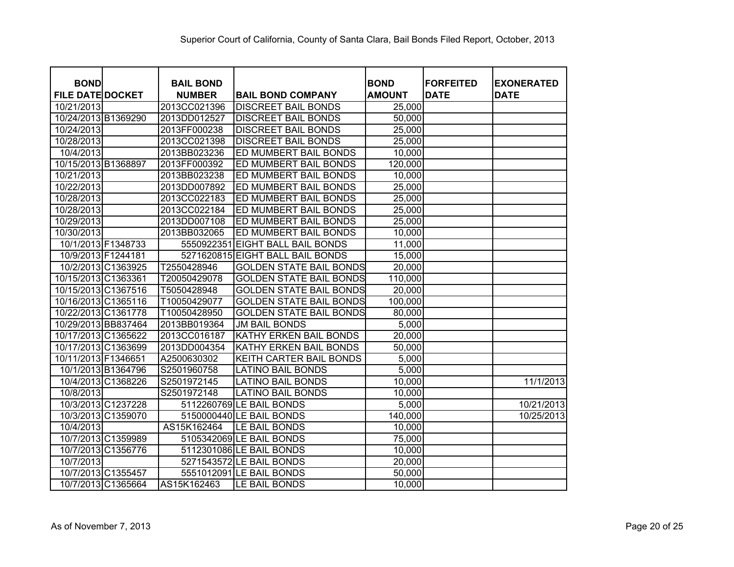| <b>BOND</b>             | <b>BAIL BOND</b> |                                  | <b>BOND</b>   | <b>FORFEITED</b> | <b>EXONERATED</b> |
|-------------------------|------------------|----------------------------------|---------------|------------------|-------------------|
| <b>FILE DATE DOCKET</b> | <b>NUMBER</b>    | <b>BAIL BOND COMPANY</b>         | <b>AMOUNT</b> | <b>DATE</b>      | <b>DATE</b>       |
| 10/21/2013              | 2013CC021396     | <b>DISCREET BAIL BONDS</b>       | 25,000        |                  |                   |
| 10/24/2013 B1369290     | 2013DD012527     | <b>DISCREET BAIL BONDS</b>       | 50,000        |                  |                   |
| 10/24/2013              | 2013FF000238     | <b>DISCREET BAIL BONDS</b>       | 25,000        |                  |                   |
| 10/28/2013              | 2013CC021398     | <b>DISCREET BAIL BONDS</b>       | 25,000        |                  |                   |
| 10/4/2013               | 2013BB023236     | ED MUMBERT BAIL BONDS            | 10,000        |                  |                   |
| 10/15/2013 B1368897     | 2013FF000392     | ED MUMBERT BAIL BONDS            | 120,000       |                  |                   |
| 10/21/2013              | 2013BB023238     | ED MUMBERT BAIL BONDS            | 10,000        |                  |                   |
| 10/22/2013              | 2013DD007892     | ED MUMBERT BAIL BONDS            | 25,000        |                  |                   |
| 10/28/2013              | 2013CC022183     | ED MUMBERT BAIL BONDS            | 25,000        |                  |                   |
| 10/28/2013              | 2013CC022184     | ED MUMBERT BAIL BONDS            | 25,000        |                  |                   |
| 10/29/2013              | 2013DD007108     | ED MUMBERT BAIL BONDS            | 25,000        |                  |                   |
| 10/30/2013              | 2013BB032065     | ED MUMBERT BAIL BONDS            | 10,000        |                  |                   |
| 10/1/2013 F1348733      | 5550922351       | <b>EIGHT BALL BAIL BONDS</b>     | 11,000        |                  |                   |
| 10/9/2013 F1244181      |                  | 5271620815 EIGHT BALL BAIL BONDS | 15,000        |                  |                   |
| 10/2/2013 C1363925      | T2550428946      | <b>GOLDEN STATE BAIL BONDS</b>   | 20,000        |                  |                   |
| 10/15/2013 C1363361     | T20050429078     | <b>GOLDEN STATE BAIL BONDS</b>   | 110,000       |                  |                   |
| 10/15/2013 C1367516     | T5050428948      | <b>GOLDEN STATE BAIL BONDS</b>   | 20,000        |                  |                   |
| 10/16/2013 C1365116     | T10050429077     | <b>GOLDEN STATE BAIL BONDS</b>   | 100,000       |                  |                   |
| 10/22/2013 C1361778     | T10050428950     | <b>GOLDEN STATE BAIL BONDS</b>   | 80,000        |                  |                   |
| 10/29/2013 BB837464     | 2013BB019364     | <b>JM BAIL BONDS</b>             | 5,000         |                  |                   |
| 10/17/2013 C1365622     | 2013CC016187     | KATHY ERKEN BAIL BONDS           | 20,000        |                  |                   |
| 10/17/2013 C1363699     | 2013DD004354     | KATHY ERKEN BAIL BONDS           | 50,000        |                  |                   |
| 10/11/2013 F1346651     | A2500630302      | KEITH CARTER BAIL BONDS          | 5,000         |                  |                   |
| 10/1/2013 B1364796      | S2501960758      | <b>LATINO BAIL BONDS</b>         | 5,000         |                  |                   |
| 10/4/2013 C1368226      | S2501972145      | <b>LATINO BAIL BONDS</b>         | 10,000        |                  | 11/1/2013         |
| 10/8/2013               | S2501972148      | <b>LATINO BAIL BONDS</b>         | 10,000        |                  |                   |
| 10/3/2013 C1237228      |                  | 5112260769 LE BAIL BONDS         | 5,000         |                  | 10/21/2013        |
| 10/3/2013 C1359070      |                  | 5150000440 LE BAIL BONDS         | 140,000       |                  | 10/25/2013        |
| 10/4/2013               | AS15K162464      | LE BAIL BONDS                    | 10,000        |                  |                   |
| 10/7/2013 C1359989      |                  | 5105342069 LE BAIL BONDS         | 75,000        |                  |                   |
| 10/7/2013 C1356776      |                  | 5112301086 LE BAIL BONDS         | 10,000        |                  |                   |
| 10/7/2013               |                  | 5271543572 LE BAIL BONDS         | 20,000        |                  |                   |
| 10/7/2013 C1355457      |                  | 5551012091 LE BAIL BONDS         | 50,000        |                  |                   |
| 10/7/2013 C1365664      | AS15K162463      | LE BAIL BONDS                    | 10,000        |                  |                   |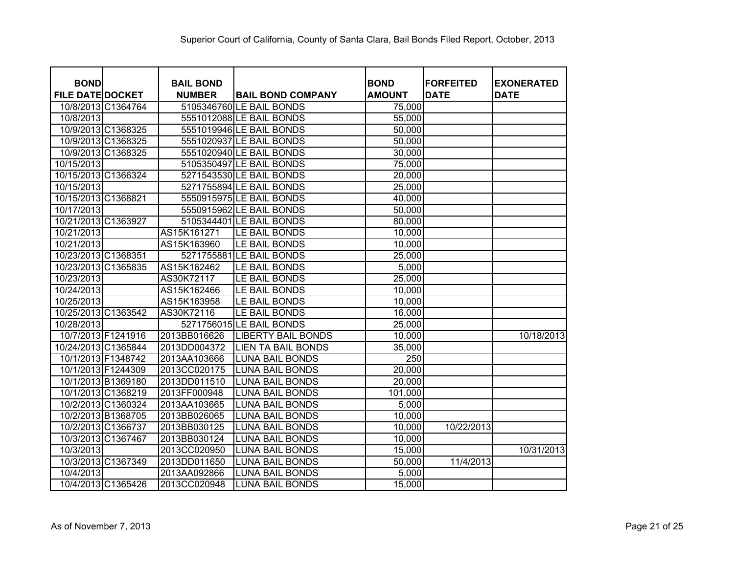| <b>BOND</b>             | <b>BAIL BOND</b> |                           | <b>BOND</b>   | <b>FORFEITED</b> | <b>EXONERATED</b> |
|-------------------------|------------------|---------------------------|---------------|------------------|-------------------|
| <b>FILE DATE DOCKET</b> | <b>NUMBER</b>    | <b>BAIL BOND COMPANY</b>  | <b>AMOUNT</b> | <b>DATE</b>      | <b>DATE</b>       |
| 10/8/2013 C1364764      |                  | 5105346760 LE BAIL BONDS  | 75,000        |                  |                   |
| 10/8/2013               |                  | 5551012088 LE BAIL BONDS  | 55,000        |                  |                   |
| 10/9/2013 C1368325      |                  | 5551019946 LE BAIL BONDS  | 50,000        |                  |                   |
| 10/9/2013 C1368325      |                  | 5551020937 LE BAIL BONDS  | 50,000        |                  |                   |
| 10/9/2013 C1368325      |                  | 5551020940 LE BAIL BONDS  | 30,000        |                  |                   |
| 10/15/2013              |                  | 5105350497 LE BAIL BONDS  | 75,000        |                  |                   |
| 10/15/2013 C1366324     |                  | 5271543530 LE BAIL BONDS  | 20,000        |                  |                   |
| 10/15/2013              |                  | 5271755894 LE BAIL BONDS  | 25,000        |                  |                   |
| 10/15/2013 C1368821     |                  | 5550915975 LE BAIL BONDS  | 40,000        |                  |                   |
| 10/17/2013              |                  | 5550915962 LE BAIL BONDS  | 50,000        |                  |                   |
| 10/21/2013 C1363927     |                  | 5105344401 LE BAIL BONDS  | 80,000        |                  |                   |
| 10/21/2013              | AS15K161271      | LE BAIL BONDS             | 10,000        |                  |                   |
| 10/21/2013              | AS15K163960      | LE BAIL BONDS             | 10,000        |                  |                   |
| 10/23/2013 C1368351     |                  | 5271755881 LE BAIL BONDS  | 25,000        |                  |                   |
| 10/23/2013 C1365835     | AS15K162462      | LE BAIL BONDS             | 5,000         |                  |                   |
| 10/23/2013              | AS30K72117       | LE BAIL BONDS             | 25,000        |                  |                   |
| 10/24/2013              | AS15K162466      | LE BAIL BONDS             | 10,000        |                  |                   |
| 10/25/2013              | AS15K163958      | LE BAIL BONDS             | 10,000        |                  |                   |
| 10/25/2013 C1363542     | AS30K72116       | LE BAIL BONDS             | 16,000        |                  |                   |
| 10/28/2013              |                  | 5271756015 LE BAIL BONDS  | 25,000        |                  |                   |
| 10/7/2013 F1241916      | 2013BB016626     | <b>LIBERTY BAIL BONDS</b> | 10,000        |                  | 10/18/2013        |
| 10/24/2013 C1365844     | 2013DD004372     | <b>LIEN TA BAIL BONDS</b> | 35,000        |                  |                   |
| 10/1/2013 F1348742      | 2013AA103666     | <b>LUNA BAIL BONDS</b>    | 250           |                  |                   |
| 10/1/2013 F1244309      | 2013CC020175     | <b>LUNA BAIL BONDS</b>    | 20,000        |                  |                   |
| 10/1/2013 B1369180      | 2013DD011510     | <b>LUNA BAIL BONDS</b>    | 20,000        |                  |                   |
| 10/1/2013 C1368219      | 2013FF000948     | <b>LUNA BAIL BONDS</b>    | 101,000       |                  |                   |
| 10/2/2013 C1360324      | 2013AA103665     | <b>LUNA BAIL BONDS</b>    | 5,000         |                  |                   |
| 10/2/2013 B1368705      | 2013BB026065     | <b>LUNA BAIL BONDS</b>    | 10,000        |                  |                   |
| 10/2/2013 C1366737      | 2013BB030125     | <b>LUNA BAIL BONDS</b>    | 10,000        | 10/22/2013       |                   |
| 10/3/2013 C1367467      | 2013BB030124     | <b>LUNA BAIL BONDS</b>    | 10,000        |                  |                   |
| 10/3/2013               | 2013CC020950     | <b>LUNA BAIL BONDS</b>    | 15,000        |                  | 10/31/2013        |
| 10/3/2013 C1367349      | 2013DD011650     | <b>LUNA BAIL BONDS</b>    | 50,000        | 11/4/2013        |                   |
| 10/4/2013               | 2013AA092866     | <b>LUNA BAIL BONDS</b>    | 5,000         |                  |                   |
| 10/4/2013 C1365426      | 2013CC020948     | <b>LUNA BAIL BONDS</b>    | 15,000        |                  |                   |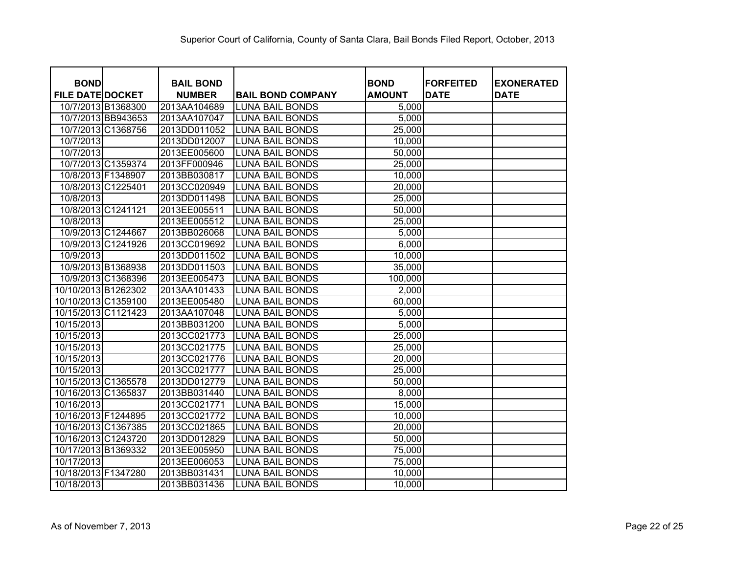| <b>BOND</b>                                   | <b>BAIL BOND</b>             |                                                  | <b>BOND</b>    | <b>FORFEITED</b><br><b>DATE</b> | <b>EXONERATED</b> |
|-----------------------------------------------|------------------------------|--------------------------------------------------|----------------|---------------------------------|-------------------|
| <b>FILE DATE DOCKET</b><br>10/7/2013 B1368300 | <b>NUMBER</b>                | <b>BAIL BOND COMPANY</b>                         | <b>AMOUNT</b>  |                                 | <b>DATE</b>       |
| 10/7/2013 BB943653                            | 2013AA104689                 | <b>LUNA BAIL BONDS</b>                           | 5,000<br>5,000 |                                 |                   |
| 10/7/2013 C1368756                            | 2013AA107047<br>2013DD011052 | <b>LUNA BAIL BONDS</b><br><b>LUNA BAIL BONDS</b> | 25,000         |                                 |                   |
|                                               |                              |                                                  |                |                                 |                   |
| 10/7/2013                                     | 2013DD012007                 | <b>LUNA BAIL BONDS</b>                           | 10,000         |                                 |                   |
| 10/7/2013                                     | 2013EE005600                 | <b>LUNA BAIL BONDS</b>                           | 50,000         |                                 |                   |
| 10/7/2013 C1359374<br>10/8/2013 F1348907      | 2013FF000946                 | <b>LUNA BAIL BONDS</b>                           | 25,000         |                                 |                   |
|                                               | 2013BB030817                 | <b>LUNA BAIL BONDS</b>                           | 10,000         |                                 |                   |
| 10/8/2013 C1225401                            | 2013CC020949                 | <b>LUNA BAIL BONDS</b>                           | 20,000         |                                 |                   |
| 10/8/2013                                     | 2013DD011498                 | <b>LUNA BAIL BONDS</b>                           | 25,000         |                                 |                   |
| 10/8/2013 C1241121                            | 2013EE005511                 | <b>LUNA BAIL BONDS</b>                           | 50,000         |                                 |                   |
| 10/8/2013                                     | 2013EE005512                 | <b>LUNA BAIL BONDS</b>                           | 25,000         |                                 |                   |
| 10/9/2013 C1244667                            | 2013BB026068                 | <b>LUNA BAIL BONDS</b>                           | 5,000          |                                 |                   |
| 10/9/2013 C1241926                            | 2013CC019692                 | <b>LUNA BAIL BONDS</b>                           | 6,000          |                                 |                   |
| 10/9/2013                                     | 2013DD011502                 | <b>LUNA BAIL BONDS</b>                           | 10,000         |                                 |                   |
| 10/9/2013 B1368938                            | 2013DD011503                 | <b>LUNA BAIL BONDS</b>                           | 35,000         |                                 |                   |
| 10/9/2013 C1368396                            | 2013EE005473                 | <b>LUNA BAIL BONDS</b>                           | 100,000        |                                 |                   |
| 10/10/2013 B1262302                           | 2013AA101433                 | <b>LUNA BAIL BONDS</b>                           | 2,000          |                                 |                   |
| 10/10/2013 C1359100                           | 2013EE005480                 | <b>LUNA BAIL BONDS</b>                           | 60,000         |                                 |                   |
| 10/15/2013 C1121423                           | 2013AA107048                 | <b>LUNA BAIL BONDS</b>                           | 5,000          |                                 |                   |
| 10/15/2013                                    | 2013BB031200                 | <b>LUNA BAIL BONDS</b>                           | 5,000          |                                 |                   |
| 10/15/2013                                    | 2013CC021773                 | <b>LUNA BAIL BONDS</b>                           | 25,000         |                                 |                   |
| 10/15/2013                                    | 2013CC021775                 | <b>LUNA BAIL BONDS</b>                           | 25,000         |                                 |                   |
| 10/15/2013                                    | 2013CC021776                 | <b>LUNA BAIL BONDS</b>                           | 20,000         |                                 |                   |
| 10/15/2013                                    | 2013CC021777                 | <b>LUNA BAIL BONDS</b>                           | 25,000         |                                 |                   |
| 10/15/2013 C1365578                           | 2013DD012779                 | <b>LUNA BAIL BONDS</b>                           | 50,000         |                                 |                   |
| 10/16/2013 C1365837                           | 2013BB031440                 | <b>LUNA BAIL BONDS</b>                           | 8,000          |                                 |                   |
| 10/16/2013                                    | 2013CC021771                 | <b>LUNA BAIL BONDS</b>                           | 15,000         |                                 |                   |
| 10/16/2013 F1244895                           | 2013CC021772                 | <b>LUNA BAIL BONDS</b>                           | 10,000         |                                 |                   |
| 10/16/2013 C1367385                           | 2013CC021865                 | <b>LUNA BAIL BONDS</b>                           | 20,000         |                                 |                   |
| 10/16/2013 C1243720                           | 2013DD012829                 | <b>LUNA BAIL BONDS</b>                           | 50,000         |                                 |                   |
| 10/17/2013 B1369332                           | 2013EE005950                 | <b>LUNA BAIL BONDS</b>                           | 75,000         |                                 |                   |
| 10/17/2013                                    | 2013EE006053                 | <b>LUNA BAIL BONDS</b>                           | 75,000         |                                 |                   |
| 10/18/2013 F1347280                           | 2013BB031431                 | <b>LUNA BAIL BONDS</b>                           | 10,000         |                                 |                   |
| 10/18/2013                                    | 2013BB031436                 | <b>LUNA BAIL BONDS</b>                           | 10,000         |                                 |                   |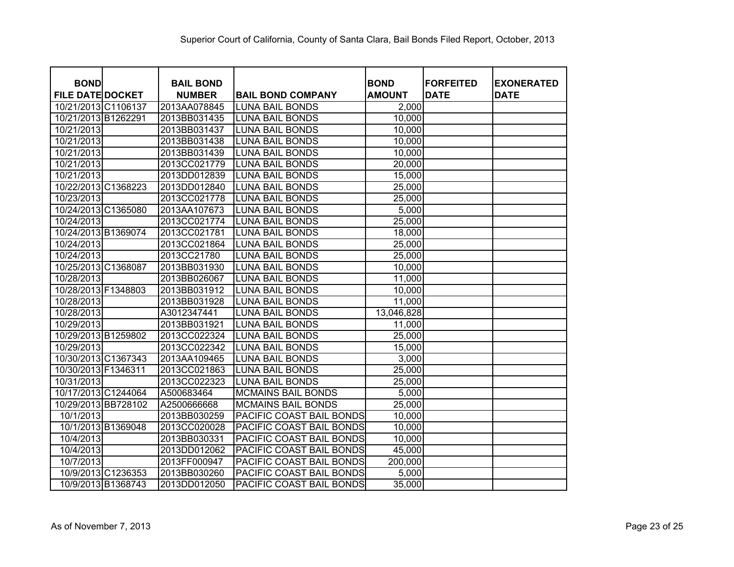| <b>BOND</b>             | <b>BAIL BOND</b> |                           | <b>BOND</b>   | <b>FORFEITED</b> | <b>EXONERATED</b> |
|-------------------------|------------------|---------------------------|---------------|------------------|-------------------|
| <b>FILE DATE DOCKET</b> | <b>NUMBER</b>    | <b>BAIL BOND COMPANY</b>  | <b>AMOUNT</b> | <b>DATE</b>      | <b>DATE</b>       |
| 10/21/2013 C1106137     | 2013AA078845     | <b>LUNA BAIL BONDS</b>    | 2,000         |                  |                   |
| 10/21/2013 B1262291     | 2013BB031435     | <b>LUNA BAIL BONDS</b>    | 10,000        |                  |                   |
| 10/21/2013              | 2013BB031437     | <b>LUNA BAIL BONDS</b>    | 10,000        |                  |                   |
| 10/21/2013              | 2013BB031438     | <b>LUNA BAIL BONDS</b>    | 10,000        |                  |                   |
| 10/21/2013              | 2013BB031439     | <b>LUNA BAIL BONDS</b>    | 10,000        |                  |                   |
| 10/21/2013              | 2013CC021779     | <b>LUNA BAIL BONDS</b>    | 20,000        |                  |                   |
| 10/21/2013              | 2013DD012839     | <b>LUNA BAIL BONDS</b>    | 15,000        |                  |                   |
| 10/22/2013 C1368223     | 2013DD012840     | <b>LUNA BAIL BONDS</b>    | 25,000        |                  |                   |
| 10/23/2013              | 2013CC021778     | <b>LUNA BAIL BONDS</b>    | 25,000        |                  |                   |
| 10/24/2013 C1365080     | 2013AA107673     | <b>LUNA BAIL BONDS</b>    | 5,000         |                  |                   |
| 10/24/2013              | 2013CC021774     | <b>LUNA BAIL BONDS</b>    | 25,000        |                  |                   |
| 10/24/2013 B1369074     | 2013CC021781     | <b>LUNA BAIL BONDS</b>    | 18,000        |                  |                   |
| 10/24/2013              | 2013CC021864     | <b>LUNA BAIL BONDS</b>    | 25,000        |                  |                   |
| 10/24/2013              | 2013CC21780      | <b>LUNA BAIL BONDS</b>    | 25,000        |                  |                   |
| 10/25/2013 C1368087     | 2013BB031930     | <b>LUNA BAIL BONDS</b>    | 10,000        |                  |                   |
| 10/28/2013              | 2013BB026067     | <b>LUNA BAIL BONDS</b>    | 11,000        |                  |                   |
| 10/28/2013 F1348803     | 2013BB031912     | <b>LUNA BAIL BONDS</b>    | 10,000        |                  |                   |
| 10/28/2013              | 2013BB031928     | <b>LUNA BAIL BONDS</b>    | 11,000        |                  |                   |
| 10/28/2013              | A3012347441      | <b>LUNA BAIL BONDS</b>    | 13,046,828    |                  |                   |
| 10/29/2013              | 2013BB031921     | <b>LUNA BAIL BONDS</b>    | 11,000        |                  |                   |
| 10/29/2013 B1259802     | 2013CC022324     | <b>LUNA BAIL BONDS</b>    | 25,000        |                  |                   |
| 10/29/2013              | 2013CC022342     | <b>LUNA BAIL BONDS</b>    | 15,000        |                  |                   |
| 10/30/2013 C1367343     | 2013AA109465     | <b>LUNA BAIL BONDS</b>    | 3,000         |                  |                   |
| 10/30/2013 F1346311     | 2013CC021863     | <b>LUNA BAIL BONDS</b>    | 25,000        |                  |                   |
| 10/31/2013              | 2013CC022323     | <b>LUNA BAIL BONDS</b>    | 25,000        |                  |                   |
| 10/17/2013 C1244064     | A500683464       | <b>MCMAINS BAIL BONDS</b> | 5,000         |                  |                   |
| 10/29/2013 BB728102     | A2500666668      | <b>MCMAINS BAIL BONDS</b> | 25,000        |                  |                   |
| 10/1/2013               | 2013BB030259     | PACIFIC COAST BAIL BONDS  | 10,000        |                  |                   |
| 10/1/2013 B1369048      | 2013CC020028     | PACIFIC COAST BAIL BONDS  | 10,000        |                  |                   |
| 10/4/2013               | 2013BB030331     | PACIFIC COAST BAIL BONDS  | 10,000        |                  |                   |
| 10/4/2013               | 2013DD012062     | PACIFIC COAST BAIL BONDS  | 45,000        |                  |                   |
| 10/7/2013               | 2013FF000947     | PACIFIC COAST BAIL BONDS  | 200,000       |                  |                   |
| 10/9/2013 C1236353      | 2013BB030260     | PACIFIC COAST BAIL BONDS  | 5,000         |                  |                   |
| 10/9/2013 B1368743      | 2013DD012050     | PACIFIC COAST BAIL BONDS  | 35,000        |                  |                   |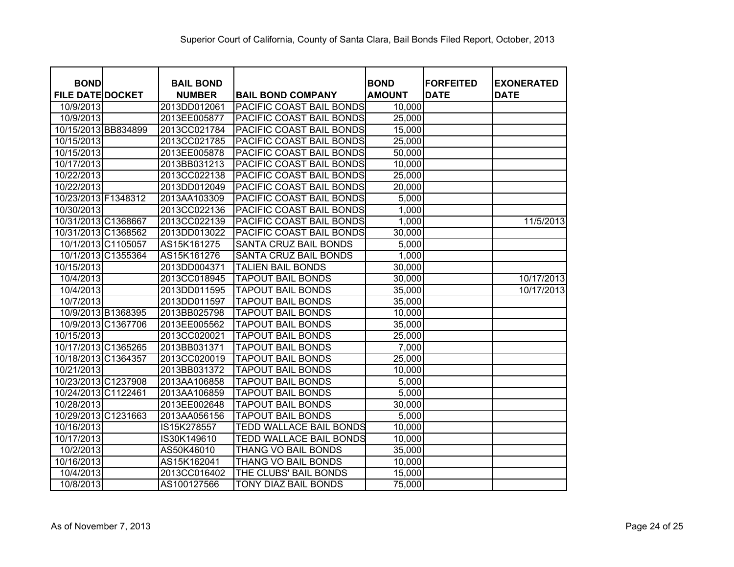| <b>BOND</b>             | <b>BAIL BOND</b> |                                | <b>BOND</b>   | <b>FORFEITED</b> | <b>EXONERATED</b> |
|-------------------------|------------------|--------------------------------|---------------|------------------|-------------------|
| <b>FILE DATE DOCKET</b> | <b>NUMBER</b>    | <b>BAIL BOND COMPANY</b>       | <b>AMOUNT</b> | <b>DATE</b>      | <b>DATE</b>       |
| 10/9/2013               | 2013DD012061     | PACIFIC COAST BAIL BONDS       | 10,000        |                  |                   |
| 10/9/2013               | 2013EE005877     | PACIFIC COAST BAIL BONDS       | 25,000        |                  |                   |
| 10/15/2013 BB834899     | 2013CC021784     | PACIFIC COAST BAIL BONDS       | 15,000        |                  |                   |
| 10/15/2013              | 2013CC021785     | PACIFIC COAST BAIL BONDS       | 25,000        |                  |                   |
| 10/15/2013              | 2013EE005878     | PACIFIC COAST BAIL BONDS       | 50,000        |                  |                   |
| 10/17/2013              | 2013BB031213     | PACIFIC COAST BAIL BONDS       | 10,000        |                  |                   |
| 10/22/2013              | 2013CC022138     | PACIFIC COAST BAIL BONDS       | 25,000        |                  |                   |
| 10/22/2013              | 2013DD012049     | PACIFIC COAST BAIL BONDS       | 20,000        |                  |                   |
| 10/23/2013 F1348312     | 2013AA103309     | PACIFIC COAST BAIL BONDS       | 5,000         |                  |                   |
| 10/30/2013              | 2013CC022136     | PACIFIC COAST BAIL BONDS       | 1,000         |                  |                   |
| 10/31/2013 C1368667     | 2013CC022139     | PACIFIC COAST BAIL BONDS       | 1,000         |                  | 11/5/2013         |
| 10/31/2013 C1368562     | 2013DD013022     | PACIFIC COAST BAIL BONDS       | 30,000        |                  |                   |
| 10/1/2013 C1105057      | AS15K161275      | SANTA CRUZ BAIL BONDS          | 5,000         |                  |                   |
| 10/1/2013 C1355364      | AS15K161276      | SANTA CRUZ BAIL BONDS          | 1,000         |                  |                   |
| 10/15/2013              | 2013DD004371     | <b>TALIEN BAIL BONDS</b>       | 30,000        |                  |                   |
| 10/4/2013               | 2013CC018945     | <b>TAPOUT BAIL BONDS</b>       | 30,000        |                  | 10/17/2013        |
| 10/4/2013               | 2013DD011595     | <b>TAPOUT BAIL BONDS</b>       | 35,000        |                  | 10/17/2013        |
| 10/7/2013               | 2013DD011597     | <b>TAPOUT BAIL BONDS</b>       | 35,000        |                  |                   |
| 10/9/2013 B1368395      | 2013BB025798     | <b>TAPOUT BAIL BONDS</b>       | 10,000        |                  |                   |
| 10/9/2013 C1367706      | 2013EE005562     | <b>TAPOUT BAIL BONDS</b>       | 35,000        |                  |                   |
| 10/15/2013              | 2013CC020021     | <b>TAPOUT BAIL BONDS</b>       | 25,000        |                  |                   |
| 10/17/2013 C1365265     | 2013BB031371     | <b>TAPOUT BAIL BONDS</b>       | 7,000         |                  |                   |
| 10/18/2013 C1364357     | 2013CC020019     | <b>TAPOUT BAIL BONDS</b>       | 25,000        |                  |                   |
| 10/21/2013              | 2013BB031372     | <b>TAPOUT BAIL BONDS</b>       | 10,000        |                  |                   |
| 10/23/2013 C1237908     | 2013AA106858     | <b>TAPOUT BAIL BONDS</b>       | 5,000         |                  |                   |
| 10/24/2013 C1122461     | 2013AA106859     | <b>TAPOUT BAIL BONDS</b>       | 5,000         |                  |                   |
| 10/28/2013              | 2013EE002648     | <b>TAPOUT BAIL BONDS</b>       | 30,000        |                  |                   |
| 10/29/2013 C1231663     | 2013AA056156     | <b>TAPOUT BAIL BONDS</b>       | 5,000         |                  |                   |
| 10/16/2013              | IS15K278557      | <b>TEDD WALLACE BAIL BONDS</b> | 10,000        |                  |                   |
| 10/17/2013              | IS30K149610      | <b>TEDD WALLACE BAIL BONDS</b> | 10,000        |                  |                   |
| 10/2/2013               | AS50K46010       | THANG VO BAIL BONDS            | 35,000        |                  |                   |
| 10/16/2013              | AS15K162041      | THANG VO BAIL BONDS            | 10,000        |                  |                   |
| 10/4/2013               | 2013CC016402     | THE CLUBS' BAIL BONDS          | 15,000        |                  |                   |
| 10/8/2013               | AS100127566      | TONY DIAZ BAIL BONDS           | 75,000        |                  |                   |